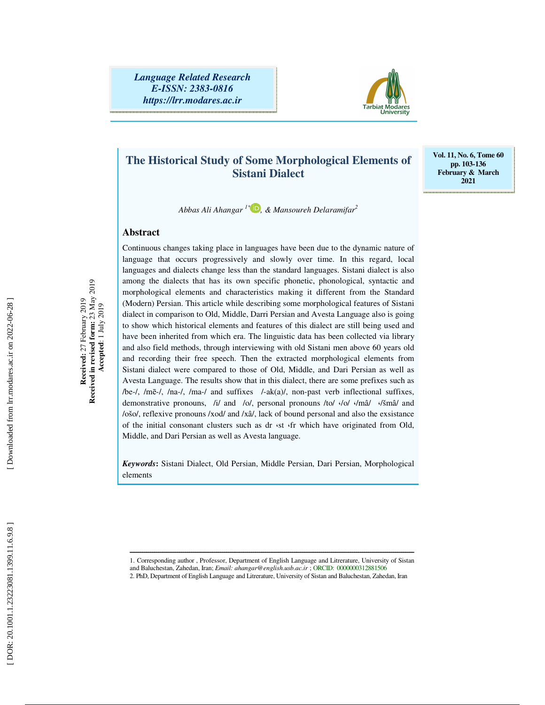*Language Related Research E-ISSN: 2383-0816 https://lrr.modares.ac.ir*



## **The Historical Study of Some Morphological Elements of Sistani Dialect**

**Vol. 11, No. 6, Tome 60 pp. 103-136 February & March 2021** 

*Abbas Ali Ahangar 1\* , & Mansoureh Delaramifar<sup>2</sup>*

#### **Abstract**

**Received:** 27 February 2019 **Received in revised form:** 23 May 2019 **Accepted**: 1 July 2019

Received in revised form:  $\frac{23 \text{ May } 2019}{2019}$ Received: 27 February 2019

Continuous changes taking place in languages have been due to the dynamic nature of language that occurs progressively and slowly over time. In this regard, local languages and dialects change less than the standard languages. Sistani dialect is also among the dialects that has its own specific phonetic, phonological, syntactic and morphological elements and characteristics making it different from the Standard (Modern) Persian. This article while describing some morphological features of Sistani dialect in comparison to Old, Middle, Darri Persian and Avesta Language also is going to show which historical elements and features of this dialect are still being used and have been inherited from which era. The linguistic data has been collected via library and also field methods, through interviewing with old Sistani men above 60 years old and recording their free speech. Then the extracted morphological elements from Sistani dialect were compared to those of Old, Middle, and Dari Persian as well as Avesta Language. The results show that in this dialect, there are some prefixes such as /be-/, /m ē-/, /na-/, /ma-/ and suffixes /-ak(a)/, non-past verb inflectional suffixes, demonstrative pronouns, /i/ and /o/, personal pronouns /to/  $\sqrt{q}$  /mâ/  $\sqrt{\sinh}$  and /ošo/, reflexive pronouns /xod/ and /xâ/, lack of bound personal and also the exsistance of the initial consonant clusters such as dr  $\cdot$ st  $\cdot$ fr which have originated from Old, Middle, and Dari Persian as well as Avesta language.

*Keywords***:** Sistani Dialect, Old Persian, Middle Persian, Dari Persian, Morphological elements

ــــــــــــــــــــــــــــــــــــــــــــــــــــــــــــــــــــــــــــــــــــــــــــــــــــــــــــــــــــــــــــــــــــــــــ 1. Corresponding author , Professor, Department of English Language and Litrerature, University of Sistan

and Baluchestan, Zahedan, Iran; *Email: ahangar@english.usb.ac.ir* ; ORCID: 0000000312881506 2. PhD, Department of English Language and Litrerature, University of Sistan and Baluchestan, Zahedan, Iran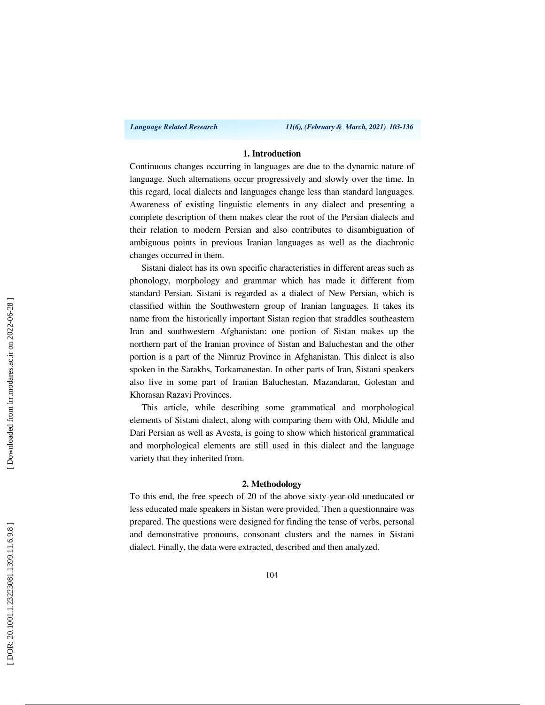*Language Related Research 11(6), (February & March, 2021) 103-136*

#### **1. Introduction**

Continuous changes occurring in languages are due to the dynamic nature of language. Such alternations occur progressively and slowly over the time. In this regard, local dialects and languages change less than standard languages. Awareness of existing linguistic elements in any dialect and presenting a complete description of them makes clear the root of the Persian dialects and their relation to modern Persian and also contributes to disambiguation of ambiguous points in previous Iranian languages as well as the diachronic changes occurred in them.

Sistani dialect has its own specific characteristics in different areas such as phonology, morphology and grammar which has made it different from standard Persian. Sistani is regarded as a dialect of New Persian, which is classified within the Southwestern group of Iranian languages. It takes its name from the historically important Sistan region that straddles southeastern Iran and southwestern Afghanistan: one portion of Sistan makes up the northern part of the Iranian province of Sistan and Baluchestan and the other portion is a part of the Nimruz Province in Afghanistan. This dialect is also spoken in the Sarakhs, Torkamanestan. In other parts of Iran, Sistani speakers also live in some part of Iranian Baluchestan, Mazandaran, Golestan and Khorasan Razavi Provinces.

This article, while describing some grammatical and morphological elements of Sistani dialect, along with comparing them with Old, Middle and Dari Persian as well as Avesta, is going to show which historical grammatical and morphological elements are still used in this dialect and the language variety that they inherited from.

#### **2. Methodology**

To this end, the free speech of 20 of the above sixty-year-old uneducated or less educated male speakers in Sistan were provided. Then a questionnaire was prepared. The questions were designed for finding the tense of verbs, personal and demonstrative pronouns, consonant clusters and the names in Sistani dialect. Finally, the data were extracted, described and then analyzed.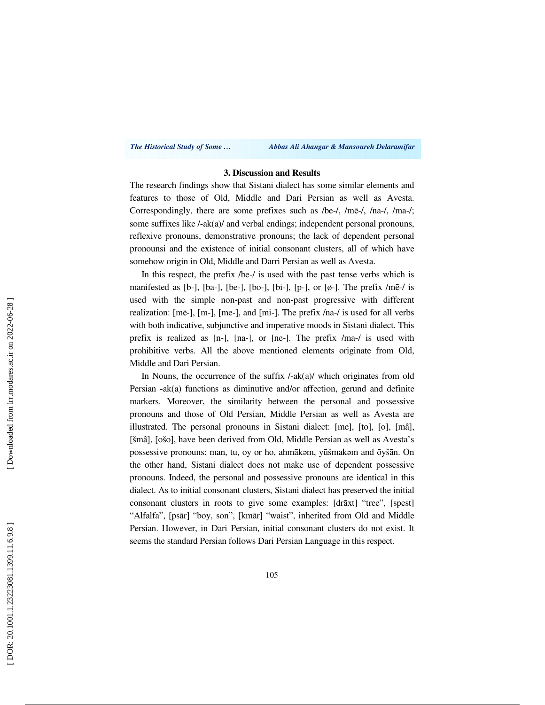*The Historical Study of Some … Abbas Ali Ahangar & Mansoureh Delaramifar* 

#### **3. Discussion and Results**

The research findings show that Sistani dialect has some similar elements and features to those of Old, Middle and Dari Persian as well as Avesta. Correspondingly, there are some prefixes such as /be-/, /m ē-/, /na-/, /ma-/; some suffixes like /-ak(a)/ and verbal endings; independent personal pronouns, reflexive pronouns, demonstrative pronouns; the lack of dependent personal pronounsi and the existence of initial consonant clusters, all of which have somehow origin in Old, Middle and Darri Persian as well as Avesta.

In this respect, the prefix /be-/ is used with the past tense verbs which is manifested as [b-], [ba-], [be-], [bo-], [bi-], [p-], or [ø-]. The prefix /m ē-/ is used with the simple non-past and non-past progressive with different realization: [m ē-], [m-], [me-], and [mi-]. The prefix /na-/ is used for all verbs with both indicative, subjunctive and imperative moods in Sistani dialect. This prefix is realized as [n-], [na-], or [ne-]. The prefix /ma-/ is used with prohibitive verbs. All the above mentioned elements originate from Old, Middle and Dari Persian.

In Nouns, the occurrence of the suffix /-ak(a)/ which originates from old Persian -ak(a) functions as diminutive and/or affection, gerund and definite markers. Moreover, the similarity between the personal and possessive pronouns and those of Old Persian, Middle Persian as well as Avesta are illustrated. The personal pronouns in Sistani dialect: [me], [to], [o], [mâ], [šmâ], [ošo], have been derived from Old, Middle Persian as well as Avesta's possessive pronouns: man, tu, oy or ho, ahmākam, yūšmakam and ōyšān. On the other hand, Sistani dialect does not make use of dependent possessive pronouns. Indeed, the personal and possessive pronouns are identical in this dialect. As to initial consonant clusters, Sistani dialect has preserved the initial consonant clusters in roots to give some examples: [dr āxt] "tree", [spest] "Alfalfa", [psar] "boy, son", [kmar] "waist", inherited from Old and Middle Persian. However, in Dari Persian, initial consonant clusters do not exist. It seems the standard Persian follows Dari Persian Language in this respect.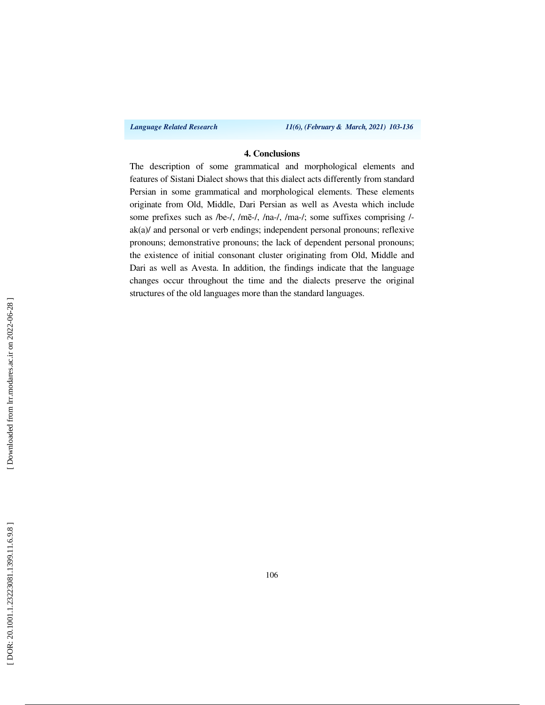*Language Related Research 11(6), (February & March, 2021) 103-136*

#### **4. Conclusions**

The description of some grammatical and morphological elements and features of Sistani Dialect shows that this dialect acts differently from standard Persian in some grammatical and morphological elements. These elements originate from Old, Middle, Dari Persian as well as Avesta which include some prefixes such as /be-/, /m ē-/, /na-/, /ma-/; some suffixes comprising / ak(a)/ and personal or verb endings; independent personal pronouns; reflexive pronouns; demonstrative pronouns; the lack of dependent personal pronouns; the existence of initial consonant cluster originating from Old, Middle and Dari as well as Avesta. In addition, the findings indicate that the language changes occur throughout the time and the dialects preserve the original structures of the old languages more than the standard languages.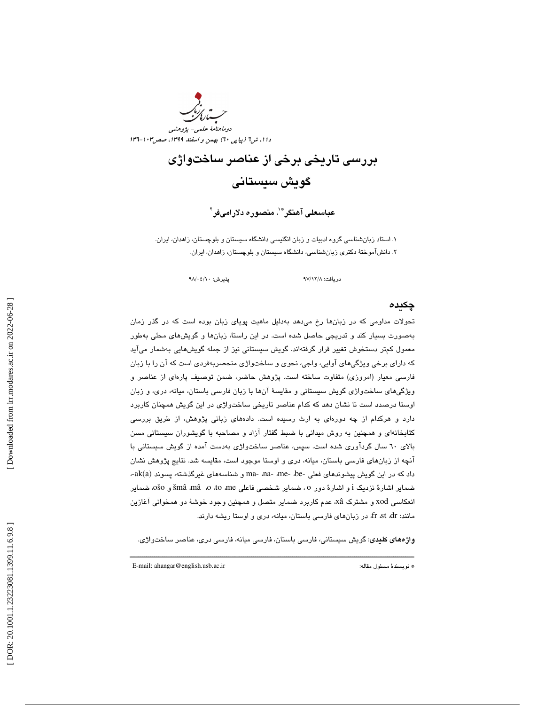

# بررسي تاريخي برخي از عناصر ساختواژي گويش سيستاني

عباسعلى آهنگر ٌ ْ ٰ، منصوره دلارامىفر ْ

. 1 استاد زبانشناسي گروه ادبيات و زبان انگليسي دانشگاه سيستان و بلوچستان، زاهدان، ايران. 2. دانشآموختة دكتري زبانشناسي، دانشگاه سيستان و بلوچستان، زاهدان، ايران.

پذيرش: ٩٨/٠٤/١٠

دريافت: ٩٧/١٢/٨

#### چكيده

تحولات مداومي كه در زبانها رخ ميدهد بهدليل ماهيت پوياي زبان بوده است كه در گذر زمان بهصورت بسيار كند و تدريجي حاصل شده است. در اين راستا، زبانها و گويشهاي محلي بهطور معمول كمتر دستخوش تغيير قرار گرفتهاند. گويش سيستاني نيز از جمله گويشهايي بهشمار ميآيد كه داراي برخي ويژگيهاي آوايي، واجي، نحوي و ساختواژي منحصربهفردي است كه آن را با زبان فارسي معيار (امروزي) متفاوت ساخته است. پژوهش حاضر، ضمن توصيف پارهاي از عناصر و ويژگيهاي ساختواژي گويش سيستاني و مقايسة آنها با زبان فارسي باستان، ميانه، دري، و زبان اوستا درصدد است تا نشان دهد كه كدام عناصر تاريخي ساختواژي در اين گويش همچنان كاربرد دارد و هركدام از چه دورهاي به ارث رسيده است. دادههاي زباني پژوهش، از طريق بررسي كتابخانهاي و همچنين به روش ميداني با ضبط گفتار آزاد و مصاحبه با گويشوران سيستاني مسن بالاي 60 سال گردآوري شده است. سپس، عناصر ساختواژي بهدست آمده از گويش سيستاني با آنچه از زبانهاي فارسي باستان، ميانه، دري و اوستا موجود است، مقايسه شد. نتايج پژوهش نشان داد كه در اين گويش پيشوندهاي فعلي -be، -me، -na، -ma و شناسههاي غيرگذشته، پسوند (a(ak،- ضماير اشارهٔ نزديک i و اشارهٔ دور o، ضماير شخصي فاعلي šmâ ،mâ ،o ،to ،me و ošo، ضماير انعكاسي xod و مشترك xâ، عدم كاربرد ضماير متصل و همچنين وجود خوشة دو همخواني آغازين مانند: dr، st، fr، در زبانهاي فارسي باستان، ميانه، دري و اوستا ريشه دارند.

ــــــــــــــــــــــــــــــــــــــــــــــــــــــــــــــــــــــــــــــــــــــــــــــــــــــــــــــــــــــــــــــــــــــــــ واژههاي كليدي: گويش سيستاني، فارسي باستان، فارسي ميانه، فارسي دري، عناصر ساختواژي.

E-mail: ahangar@english.usb.ac.ir :مقاله مسئول نويسندة\*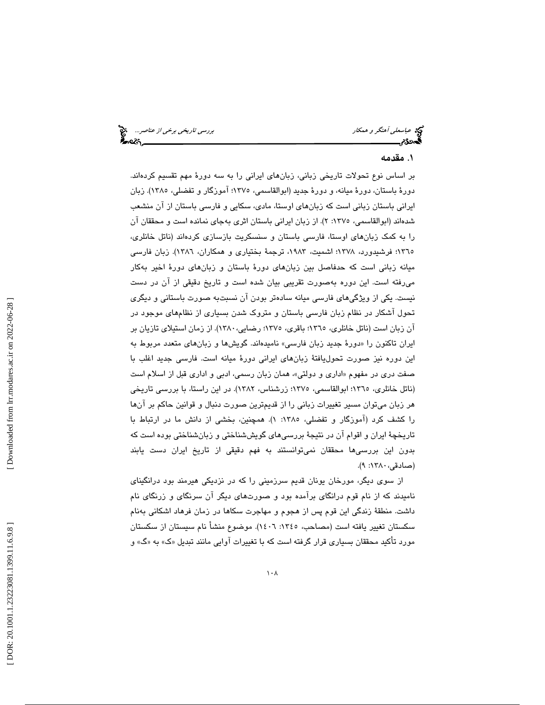عباسعل*ي آهنگر و همكار بررسي تاريخي برخي از عناصر...*... تاريخي بر*خي از عناصر...*... تاريخي برخي *از عناصر...*... تاريخي<br>**بررسي تاريخي بررسي بررسي بررسي بررسي تاريخي بررسي تاريخي برخي از عناصر بررسي تاريخي برخي از عناصر** 

#### 1. مقدمه

بر اساس نوع تحولات تاريخي زباني، زبانهاي ايراني را به سه دورة مهم تقسيم كردهاند. دورة باستان، دورة ميانه، و دورة جديد (ابوالقاسمي، 1375؛ آموزگار و تفضلي، 1385). زبان ايراني باستان زباني است كه زبانهاي اوستا، مادي، سكايي و فارسي باستان از آن منشعب شدهاند (ابوالقاسمي، 1375 :2 ). از زبان ايراني باستان اثري بهجاي نمانده است و محققان آن را به كمك زبانهاي اوستا، فارسي باستان و سنسكريت بازسازي كردهاند (ناتل خانلري، ١٣٦٥؛ فرشيدورد، ١٣٧٨؛ اشميت، ١٩٨٣، ترجمهٔ بختياري و همكاران، ١٣٨٦). زبان فارسي ميانه زباني است كه حدفاصل بين زبانهاي دورة باستان و زبانهاي دورة اخير بهكار ميرفته است. اين دوره به صورت تقريبي بيان شده است و تاريخ دقيقي از آن در دست نيست. يكي از ويژگيهاي فارسي ميانه سادهتر بودن آن نسبتبه صورت باستاني و ديگري تحول آشكار در نظام زبان فارسي باستان و متروك شدن بسياري از نظامهاي موجود در آن زبان است (ناتل خانلري، ١٣٦٥؛ باقري، ١٣٧٥؛ رضايي، ١٣٨٠). از زمان استيلاي تازيان بر ايران تاكنون را «دورهٔ جديد زبان فارسي» ناميدهاند. گويشها و زبانهاي متعدد مربوط به اين دوره نيز صورت تحوليافتة زبانهاي ايراني دورة ميانه است. فارسي جديد اغلب با صفت دري در مفهوم «اداري و دولتي»، همان زبان رسمي، ادبي و اداري قبل از اسلام است (ناتل خانلري، 1365؛ ابوالقاسمي، 1375؛ زرشناس، 1382). در اين راستا، با بررسي تاريخي هر زبان ميتوان مسير تغييرات زباني را از قديمترين صورت دنبال و قوانين حاكم بر آنها را كشف كرد (آموزگار و تفضلي، 1385 :1 ). همچنين، بخشي از دانش ما در ارتباط با تاريخچة ايران و اقوام آن در نتيجة بررسيهاي گويششناختي و زبانشناختي بوده است كه بدون اين بررسيها محققان نميتوانستند به فهم دقيقي از تاريخ ايران دست يابند (صادقي، ١٣٨٠: ٩).

از سوي ديگر، مورخان يونان قديم سرزميني را كه در نزديكي هيرمند بود درانگيناي ناميدند كه از نام قوم درانگاي برآمده بود و صورتهاي ديگر آن سرنگاي و زرنگاي نام داشت. منطقة زندگي اين قوم پس از هجوم و مهاجرت سكاها در زمان فرهاد اشكاني بهنام سكستان تغيير يافته است (مصاحب، :1345 1406). موضوع منشأ نام سيستان از سكستان مورد تأكيد محققان بسياري قرار گرفته است كه با تغييرات آوايي مانند تبديل «ک» به «گ» و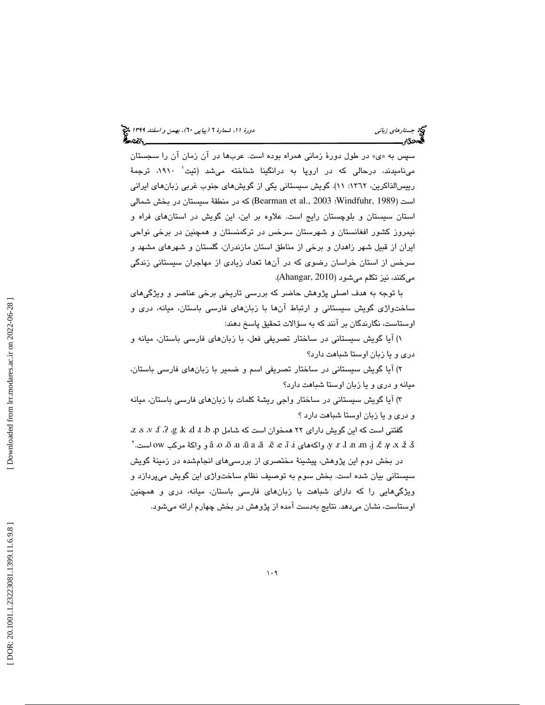» در طول دورة زماني همراه بوده است. عربها در آن زمان آن را سجستان ي سپس به « ميناميدند، درحالي كه در اروپا به درانگينا شناخته ميشد (تيت 1 ،1910 ترجمة رييسالذاكرين، :1362 11). گويش سيستاني يكي از گويشهاي جنوب غربي زبانهاي ايراني است (1989 ,Windfuhr؛ 2003 .,al et Bearman (كه در منطقة سيستان در بخش شمالي استان سيستان و بلوچستان رايج است. علاوه بر اين، اين گويش در استانهاي فراه و نيمروز كشور افغانستان و شهرستان سرخس در تركمنستان و همچنين در برخي نواحي ايران از قبيل شهر زاهدان و برخي از مناطق استان مازندران، گلستان و شهرهاي مشهد و سرخس از استان خراسان رضوي كه در آنها تعداد زيادي از مهاجران سيستاني زندگي ميكنند، نيز تكلم ميشود (2010 ,Ahangar(.

با توجه به هدف اصلي پژوهش حاضر كه بررسي تاريخي برخي عناصر و ويژگيهاي ساختواژي گويش سيستاني و ارتباط آنها با زبانهاي فارسي باستان، ميانه، دري و اوستاست، نگارندگان بر آنند كه به سؤالات تحقيق پاسخ دهند:

 )1 آيا گويش سيستاني در ساختار تصريفي فعل، با زبانهاي فارسي باستان، ميانه و دري و يا زبان اوستا شباهت دارد؟

۲) آيا گويش سيستاني در ساختار تصريفي اسم و ضمير با زبانهاي فارسي باستان، ميانه و دري و يا زبان اوستا شباهت دارد؟

 )3 آيا گويش سيستاني در ساختار واجي ريشة كلمات با زبانهاي فارسي باستان، ميانه و دري و يا زبان اوستا شباهت دارد ؟

گفتني است كه اين گويش داراي ٢٢ همخوان است كه شامل z ،s ،v ،f ،ʔ ،g ،k ،d ،t ،b ،p ق في ماركب ow أ ، y ، r، l، n، m، j، č، γ، x، ž، š، z، ā، ā، ā، ā، õ، ā، ū، a، ā، و واكة مركب ow است.

در بخش دوم اين پژوهش، پيشينة مختصري از بررسيهاي انجامشده در زمينة گويش سيستاني بيان شده است. بخش سوم به توصيف نظام ساختواژي اين گويش ميپردازد و ويژگيهايي را كه داراي شباهت با زبانهاي فارسي باستان، ميانه، دري و همچنين اوستاست، نشان ميدهد. نتايج بهدست آمده از پژوهش در بخش چهارم ارائه ميشود.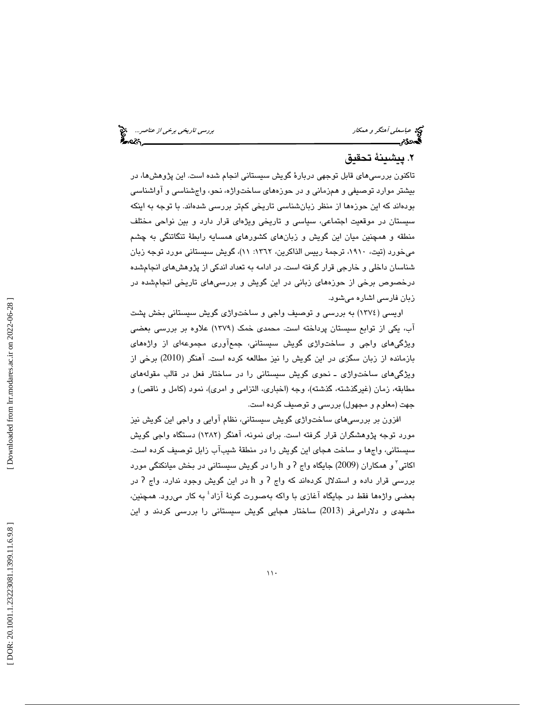عباسعلي آهنگر و همكار بررسي تاري*خي برخي از عناص*ر... هي بررسي تاري*خي برخي از عناصر...*<br>**بهجودی بررسي بررسي بررسي بررسي بررسي تاريخي بررسي تاريخي برخي از عناصر بررسي تاريخي برخي از عناصر...**<br>**بهجودی بررسي بررسي بررسي برر** 

### 2. پيشينة تحقيق

تاكنون بررسي هاي قابل توجهي دربارهٔ گويش سيستاني انجام شده است. اين پژوهشها، در بيشتر موارد توصيفي و همزماني و در حوزههاي ساختواژه، نحو، واجشناسي و آواشناسي بودهاند كه اين حوزهها از منظر زبانشناسي تاريخي كمتر بررسي شدهاند. با توجه به اينكه سيستان در موقعيت اجتماعي، سياسي و تاريخي ويژهاي قرار دارد و بين نواحي مختلف منطقه و همچنين ميان اين گويش و زبانهاي كشورهاي همسايه رابطة تنگاتنگي به چشم ميخورد (تيت، ،1910 ترجمة رييس الذاكرين، :1362 11)، گويش سيستاني مورد توجه زبان شناسان داخلي و خارجي قرار گرفته است. در ادامه به تعداد اندكي از پژوهشهاي انجامشده درخصوص برخي از حوزههاي زباني در اين گويش و بررسيهاي تاريخي انجامشده در زبان فارسي اشاره ميشود.

( اويسي 1374) به بررسي و توصيف واجي و ساختواژي گويش سيستاني بخش پشت آب، يكي از توابع سيستان پرداخته است. محمدي خمك ( 1379) علاوه بر بررسي بعضي ويژگيهاي واجي و ساختواژي گويش سيستاني، جمعآوري مجموعهاي از واژههاي بازمانده از زبان سگزي در اين گويش را نيز مطالعه كرده است. آهنگر (2010 ) برخي از ويژگيهاي ساختواژي ـ نحوي گويش سيستاني را در ساختار فعل در قالب مقولههاي مطابقه، زمان (غيرگذشته، گذشته)، وجه (اخباري، التزامي و امري)، نمود (كامل و ناقص) و جهت (معلوم و مجهول) بررسي و توصيف كرده است.

افزون بر بررسيهاي ساختواژي گويش سيستاني، نظام آوايي و واجي اين گويش نيز مورد توجه پژوهشگران قرار گرفته است. برای نمونه، آهنگر (۱۳۸۲) دستگاه واجی گویش سيستاني، واجها و ساخت هجاي اين گويش را در منطقة شيبآب زابل توصيف كرده است. اکاتی<sup>۲</sup> و همکاران (2009) جایگاه واج ? و h را در گویش سیستانی در بخش میانکنگی مورد بررسی قرار داده و استدلال کردهاند که واج ? و h در این گویش وجود ندارد. واج ? در بعضي واژهها فقط در جايگاه آغازي با واكه بهصورت گونة آزاد 4 به كار ميرود. همچنين، مشهدي و دلاراميفر (2013) ساختار هجايي گويش سيستاني را بررسي كردند و اين

 [\[ DOR: 20.1001.1.23223081.1399.11.6.9.8](https://dorl.net/dor/20.1001.1.23223081.1399.11.6.9.8) ] [\[ Downloaded from lrr.modares.ac.ir on 20](https://lrr.modares.ac.ir/article-14-28865-fa.html)22-06-28 ] Downloaded from hr.modares.ac.ir on 2022-06-28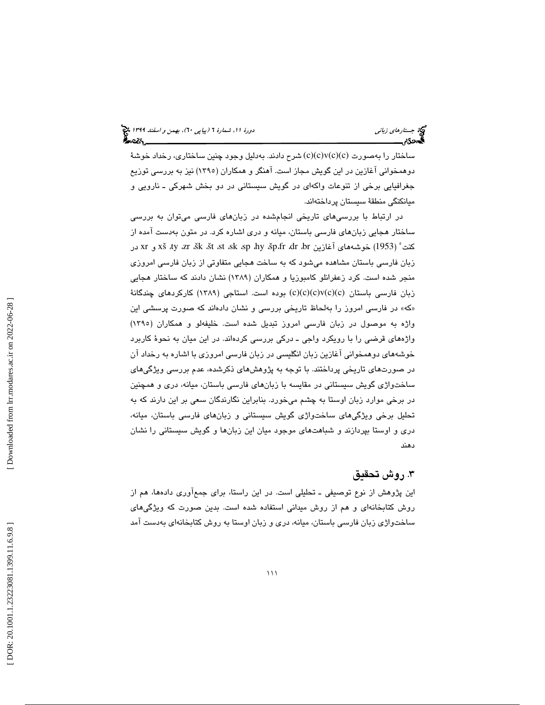ساختار را بهصورت (c)(c(v)c)(c (شرح دادند. بهدليل وجود چنين ساختاري، رخداد خوشة دوهمخواني آغازين در اين گويش مجاز است. آهنگر و همكاران (1395) نيز به بررسي توزيع جغرافيايي برخي از تنوعات واكهاي در گويش سيستاني در دو بخش شهركي ـ نارويي و ميانكنگي منطقة سيستان پرداختهاند.

در ارتباط با بررسيهاي تاريخي انجامشده در زبانهاي فارسي ميتوان به بررسي ساختار هجايي زبانهاي فارسي باستان، ميانه و دري اشاره كرد. در متون بهدست آمده از كنت ْ (1953) خوشههاي آغازين xs (ty ،zr ،šk ،št ،st ،sk ،sp ،hy .šp.fr ،dr ،br و xr در زبان فارسي باستان مشاهده ميشود كه به ساخت هجايي متفاوتي از زبان فارسي امروزي منجر شده است. كرد زعفرانلو كامبوزيا و همكاران (1389) نشان دادند كه ساختار هجايي زبان فارسي باستان (c)(c(v)c)(c)(c (بوده است. استاجي (1389) كاركردهاي چندگانة كه» در فارسي امروز را بهلحاظ تاريخي بررسي و نشان دادهاند كه صورت پرسشي اين » واژه به موصول در زبان فارسي امروز تبديل شده است. خليفهلو و همكاران (1395) واژههاي قرضي را با رويكرد واجي ـ دركي بررسي كردهاند. در اين ميان به نحوة كاربرد خوشههاي دوهمخواني آغازين زبان انگليسي در زبان فارسي امروزي با اشاره به رخداد آن در صورتهاي تاريخي پرداختند. با توجه به پژوهشهاي ذكرشده، عدم بررسي ويژگيهاي ساختواژي گويش سيستاني در مقايسه با زبانهاي فارسي باستان، ميانه، دري و همچنين در برخي موارد زبان اوستا به چشم ميخورد. بنابراين نگارندگان سعي بر اين دارند كه به تحليل برخي ويژگيهاي ساختواژي گويش سيستاني و زبانهاي فارسي باستان، ميانه، دري و اوستا بپردازند و شباهتهاي موجود ميان اين زبانها و گويش سيستاني را نشان دهند

## 3. روش تحقيق

اين پژوهش از نوع توصيفي ـ تحليلي است. در اين راستا، براي جمعآوري دادهها، هم از روش كتابخانهاي و هم از روش ميداني استفاده شده است. بدين صورت كه ويژ گيهاي ساختواژي زبان فارسي باستان، ميانه، دري و زبان اوستا به روش كتابخانهاي بهدست آمد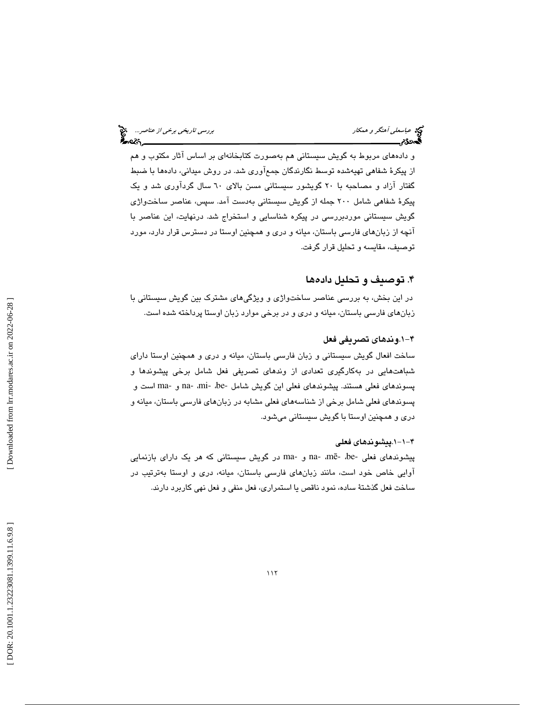عباسعل*ي آهنگر و همكار بررسي تاريخي برخي از عناصر...*<br>المحمد العباسي آهنگر و همكار بررسي تاريخي بررسي تاريخي برخي *از عناصر به ال*عباسي<br>المحمد العباسي

و دادههاي مربوط به گويش سيستاني هم بهصورت كتابخانهاي بر اساس آثار مكتوب و هم از پيكرة شفاهي تهيهشده توسط نگارندگان جمعآوري شد. در روش ميداني، دادهها با ضبط گفتار آزاد و مصاحبه با 20 گويشور سيستاني مسن بالاي 60 سال گردآوري شد و يك پيكرة شفاهي شامل 200 جمله از گويش سيستاني بهدست آمد. سپس، عناصر ساختواژي گويش سيستاني موردبررسي در پيكره شناسايي و استخراج شد. درنهايت، اين عناصر با آنچه از زبانهاي فارسي باستان، ميانه و دري و همچنين اوستا در دسترس قرار دارد، مورد توصيف، مقايسه و تحليل قرار گرفت.

#### 4. توصيف و تحليل داده ها

در اين بخش، به بررسي عناصر ساختواژي و ويژگيهاي مشترك بين گويش سيستاني با زبانهاي فارسي باستان، ميانه و دري و در برخي موارد زبان اوستا پرداخته شده است.

#### -1. 4 وندهاي تصريفي فعل

ساخت افعال گويش سيستاني و زبان فارسي باستان، ميانه و دري و همچنين اوستا داراي شباهتهايي در بهكارگيري تعدادي از وندهاي تصريفي فعل شامل برخي پيشوندها و پسوندهای فعلی هستند. پیشوندهای فعلی این گویش شامل -be، -ma و -ma است و پسوندهاي فعلي شامل برخي از شناسههاي فعلي مشابه در زبانهاي فارسي باستان، ميانه و دري و همچنين اوستا با گويش سيستاني ميشود.

### -1-1. 4 پيشوندهاي فعلي

پیشوندهای فعلی -be، -mē و -ma در گویش سیستانی كه هر یک دارای بازنمایی آوايي خاص خود است، مانند زبانهاي فارسي باستان، ميانه، دري و اوستا بهترتيب در ساخت فعل گذشتة ساده، نمود ناقص يا استمراري، فعل منفي و فعل نهي كاربرد دارند.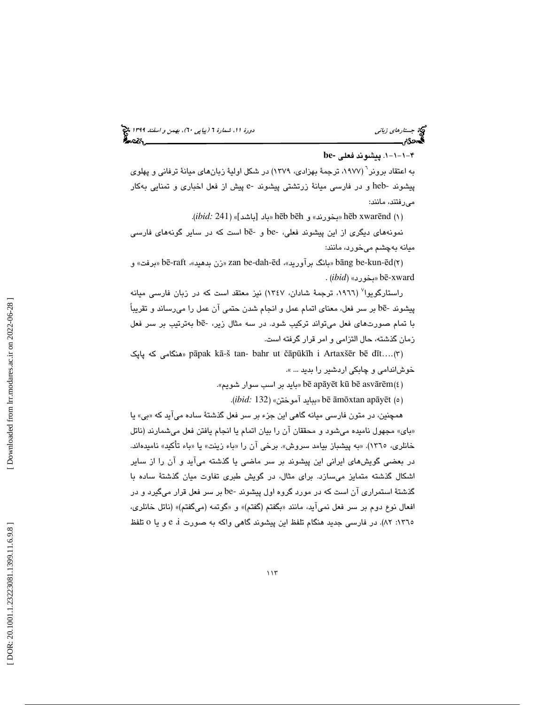# جستاره*اي زباني (بياپي 60)، بهمن و اسفند 1*394 فجر بين دورة ،11، بهمن و اسفند 1394 فج

-1 -1-1 4 . پيشوند فعلي **-be**

به اعتقاد برونر 6 ( ،1977 ترجمة بهزادي، 1379) در شكل اولية زبانهاي ميانة ترفاني و پهلوي پيشوند -heb و در فارسي ميانة زرتشتي پيشوند -e پيش از فعل اخباري و تمنايي بهكار ميرفتند، مانند:

(١) hēb xwarēnd «بخورند» و hēb bēh «باد [باشد]» (ibid: 241).

نمونههاي ديگري از اين پيشوند فعلي، -be و -bē است كه در ساير گونههاي فارسي ميانه بهچشم ميخورد، مانند:

(٢)bāng be-kun-ēd «بانگ برآورید»، zan be-dah-ēd «زن بدهید»، bē-raft «برفت» و « بخورد» (*ibid* ( . b ē-xward

راستارگویوا<sup>۷</sup> (۱۹۲۲، ترجمهٔ شادان، ۱۳٤۷) نیز معتقد است که در زبان فارسی میانه پيشوند -bē بر سر فعل، معناي اتمام عمل و انجام شدن حتمي آن عمل را ميرساند و تقريباً با تمام صورتهاى فعل مىتواند تركيب شود. در سه مثال زير، -bē بهترتيب بر سر فعل زمان گذشته، حال التزامي و امر قرار گرفته است.

منگامی که پاپک pāpak kā-š tan- bahr ut čāpūkīh i Artaxšēr bē dīt….(٣) خوشاندامي و چابكي اردشير را بديد ... ».

 $\mathbb{R}^n$  بايد بر اسب سوار شويم». bē apāyēt kū bē asvārēm $(\mathfrak{e})$ 

 $(bid: 132)$  «ببايد آموختن» (132 $bid:$  hē āmōxtan apāyēt (0

همچنين، در متون فارسي ميانه گاهي اين جزء بر سر فعل گذشتهٔ ساده ميآيد كه «بي» يا «باي» مجهول ناميده ميشود و محققان آن را بيان اتمام يا انجام يافتن فعل ميشمارند (ناتل خانلري، ١٣٦٥). «به پيشباز بيامد سروش». برخي آن را «باء زينت» يا «باء تأكيد» ناميدهاند. در بعضي گويشهاي ايراني اين پيشوند بر سر ماضي يا گذشته ميآيد و آن را از ساير اشكال گذشته متمايز ميسازد. براي مثال، در گويش طبري تفاوت ميان گذشتة ساده با گذشتة استمراري آن است كه در مورد گروه اول پيشوند -be بر سر فعل قرار ميگيرد و در افعال نوع دوم بر سر فعل نميآيد، مانند «بگفتم (گفتم)» و «گوتمه (ميگفتم)» (ناتل خانلري، ١٣٦٥: ٨٢). در فارسي جديد هنگام تلفظ اين پيشوند گاهي واكه به صورت e i و يا 0 تلفظ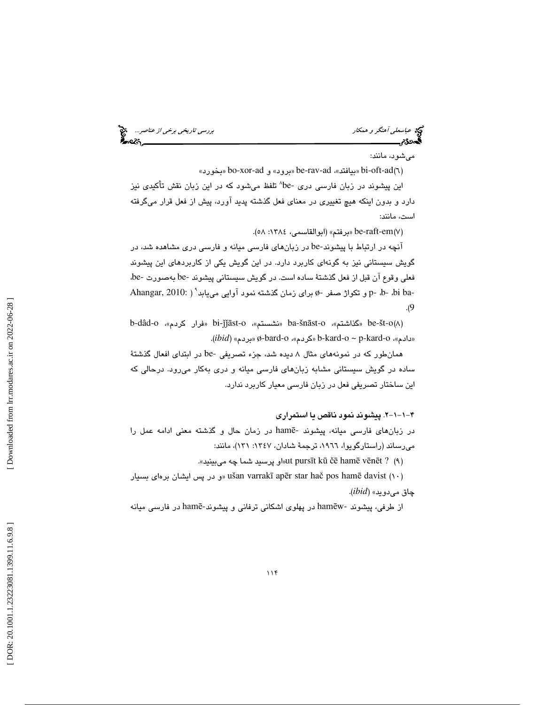عباسعل*ی آهنگر و همكار بررسي تاريخي از عناصر...*<br>**بررسي تاريخي برخي از عناصر...**<br>**بهجودی بررسي** 

ميشود، مانند:

« بخورد « bo-xor-ad « و برود « be-rav-ad « ، بيافتد « bi-oft-ad )6(

این پیشوند در زبان فارسی دری -be′ تلفظ میشود که در این زبان نقش تأکیدی نیز دارد و بدون اينكه هيچ تغييري در معناي فعل گذشته پديد آورد، پيش از فعل قرار ميگرفته است، مانند:

58.( :1384 ،ابوالقاسمي» (برفتم « be-raft-em )7(

آنچه در ارتباط با پيشوند-be در زبانهاي فارسي ميانه و فارسي دري مشاهده شد، در گويش سيستاني نيز به گونهاي كاربرد دارد. در اين گويش يكي از كاربردهاي اين پيشوند فعلي وقوع آن قبل از فعل گذشتة ساده است. در گويش سيستاني پيشوند -be به صورت -be، -b- ،bi ba، -b، -p، و تكواژ صفر -ø براي زمان گذشته نمود آوايي مييابد° ( :Ahangar, 2010 .( 9

b-dâd-o «فرار كردم» bi-jj̄āst-o «نشستم»، ba-šnāst-o «فرار كردم»، b $\det(A)$ .( *ibid*) «بردم « ø-bard-o « ، كردم « b-kard-o ~ p-kard-o « ، دادم »

همانطور كه در نمونه 8 هاي مثال ديده شد، جزء تصريفي -be در ابتداي افعال گذشتة ساده در گويش سيستاني مشابه زبانهاي فارسي ميانه و دري بهكار ميرود. درحالي كه اين ساختار تصريفي فعل در زبان فارسي معيار كاربرد ندارد.

-2. -1-1 4 پيشوند نمود ناقص يا استمراري

در زبانهای فارسی میانه، پیشوند -hamē در زمان حال و گذشته معنی ادامه عمل را ميرساند (راستارگويوا، ،1966 ترجمة شادان، :1347 131)، مانند:

اساو پرسيد شما چه مي.بينيد». (پرسيد شما چه مي.بينيد».  $\texttt{u}$ rsīt kū čē hamē vēnēt ?

دو پس ایشان برهای بسیار ušan varrakī apēr star hač pos hamē davist (۱۰) چاق ميدويد» (*ibid*( .

از طرفی، پیشوند -hamēw در پهلوی اشکانی ترفانی و پیشوند-hamē در فارسی میانه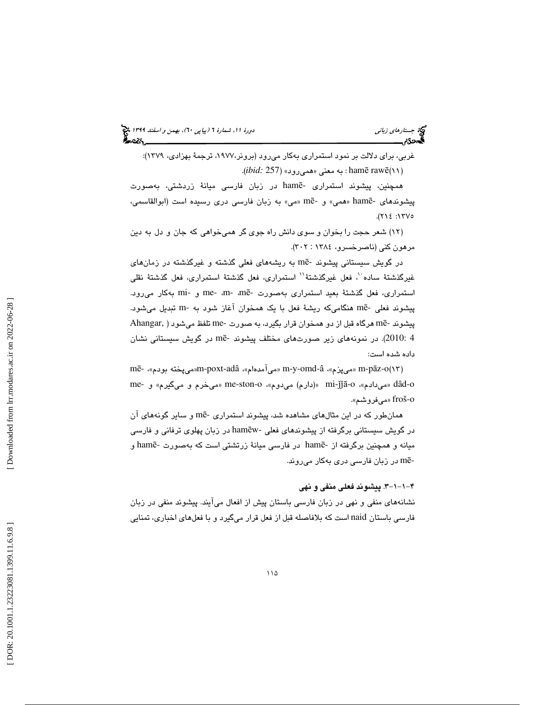غربي، براي دلالت بر نمود استمراري بهكار ميرود (برونر،1977، ترجمة بهزادي، 1379 ): : hamē rawē(\۱) به معنی «همیرود» (*ibid: 257).* 

همچنين، پيشوند استمراری -hamē در زبان فارسی ميانهٔ زردشتی، بهصورت پیشوندهای -hamē «همی» و -mē «می» به زبان فارسی دری رسیده است (ابوالقاسمی،  $(Y \setminus \xi : Y \setminus \circ$ 

(١٢) شعر حجت را بخوان و سوی دانش راه جوی گر همیخواهی كه جان و دل به دين مرهون كني (ناصرخسرو، ١٣٨٤ : ٣٠٢).

در گويش سيستاني پيشوند -mē به ريشههاي فعلي گذشته و غيرگذشته در زمانهاي غيرگذشتهٔ ساده ٰ ، فعل غيرگذشتهٔ `` استمراري، فعل گذشته استمراري، فعل گذشتهٔ نقلي استمراري، فعل گذشتهٔ بعيد استمراري بهصورت -me- ،m- ،me و -mi بهكار مى رود. پيشوند فعلي -mē هنگاميكه ريشهٔ فعل با يک همخوان آغاز شود به -m تبديل ميشود. هرگاه قبل از دو همخوان قرار بگيرد، به صورت -me تلفظ ميشود ( ,Ahangar m ē پيشوند - در گويش سيستاني نشان m ē 4 2010:). در نمونههاي زير صورتهاي مختلف پيشوند - داده شده است:

mē- «ميپخته بودم»، m-y-omd-â «ميآمدهام»، mē- «سيپخته بودم»، -mē me- و» ميگيرم و ميخرم « me-ston-o « ، ميدوم) دارم «( mi-ǰǰā-o « ، ميدادم « dâd-o .« ميفروشم « froš-o

همان طور كه در اين مثالهاي مشاهده شد، پيشوند استمراري -mē و ساير گونههاي آن در گويش سيستاني برگرفته از پيشوندهاي فعلي -hamēw در زبان پهلوي ترفاني و فارسي میانه و همچنین برگرفته از -hamē در فارسی میانهٔ زرتشتی است که بهصورت -hamē و در زبان فارسي دري بهكار ميروند. m ē -

#### -3. -1-1 4 پيشوند فعلي منفي و نهي

نشانههاي منفي و نهي در زبان فارسي باستان پيش از افعال ميآيند. پيشوند منفي در زبان فارسي باستان naid است كه بلافاصله قبل از فعل قرار ميگيرد و با فعلهاي اخباري، تمنايي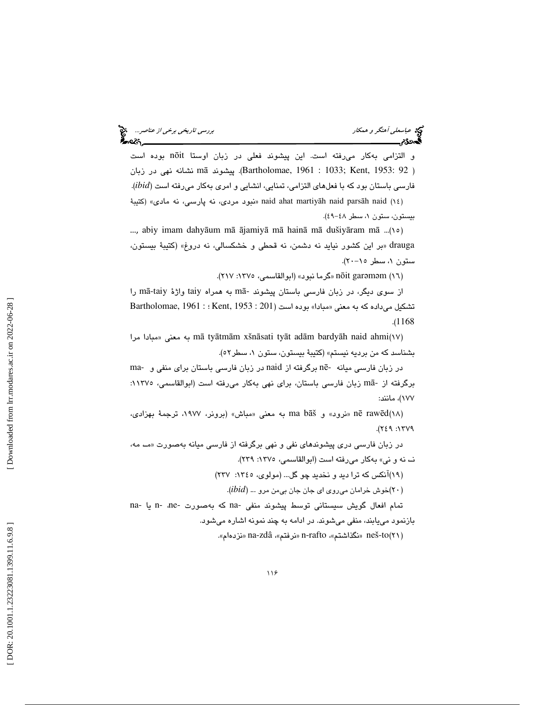عباسعل*ي آهنگر و همكار بررسي تاريخي برخي از عناصر...*<br>المحمد العباسي آهنگر و همكار بررسي تاريخي بررسي تاريخي برخي از عناصر...<br>**ال**محمد العباسي

و التزامي بهكار مىرفته است. اين پيشوند فعلى در زبان اوستا nōit بوده است نشانه نهي در زبان m ā پيشوند .)Bartholomae, 1961 : 1033; Kent, 1953: 92 ) فارسي باستان بود كه با فعلهاي التزامي، تمنايي، انشايي و امري بهكار ميرفته است (*ibid*( . naid ahat martiyāh naid parsāh naid (١٤) (١٤) maid ahat martiyāh naid (١٤) (كتيبة بيستون، ستون ١، سطر ٤٨-٤٩).

..., abiy imam dahyāum mā ājamiyā mā hainā mā dušiyāram mā ...(10) drauga » بر اين كشور نيايد نه دشمن، نه قحطي و خشكسالي، نه دروغ» (كتيبة بيستون، ستون ۱، سطر ۱۵–۲۰).

nōit garəməm (۱٦)» «گرما نبود» (ابوالقاسمي، ١٣٧٥: ٢١٧).

از سوی دیگر، در زبان فارسی باستان پیشوند -mā به همراه taiy واژهٔ mā-taiy را تشكيل ميداده كه به معنى «مبادا» بوده است (201 : Kent, 1953 ؛ : Bartholomae, 1961 .(1168

به معنى «مبادا مرا mā tyātmām xšnāsati tyāt adām bardyāh naid ahmi(١٧) بشناسد كه من برديه نيستم» (كتيبهٔ بيستون، ستون ١، سطر٥٢).

در زبان فارسی میانه -nē برگرفته از naid در زبان فارسی باستان برای منفی و -ma برگرفته از -mā زبان فارسى باستان، براى نهى بهكار مى فته است (ابوالقاسمى، ١١٣٧٥: 177)، مانند:

nē rawēd(١٨) (شرود» و ma bāš به معنى «مباش» (برونر، ١٩٧٧، ترجمة بهزادي،  $PVT1: P37$ ).

در زبان فارسي دري پيشوندهاي نفي و نهي برگرفته از فارسي ميانه بهصورت «مــ، مـه، نـ، نه و ني به» كار ميرفته است (ابوالقاسمي، :1375 239).

(١٩)آنكس كه ترا ديد و نخديد چو گل... (مولوي، ١٣٤٥: ٢٣٧)

)20 خوش خرامان ميروي اي جان جان بيمن مرو ... (*ibid*( . )

تمام افعال گويش سيستاني توسط پيشوند منفي -na كه بهصورت -ne، -n يا -na بازنمود مييابند، منفي ميشوند. در ادامه به چند نمونه اشاره ميشود.

neš-to(۲۱) «نگذاشتم»، n-rafto «نرفتم»، na-zdâ «نزدهام».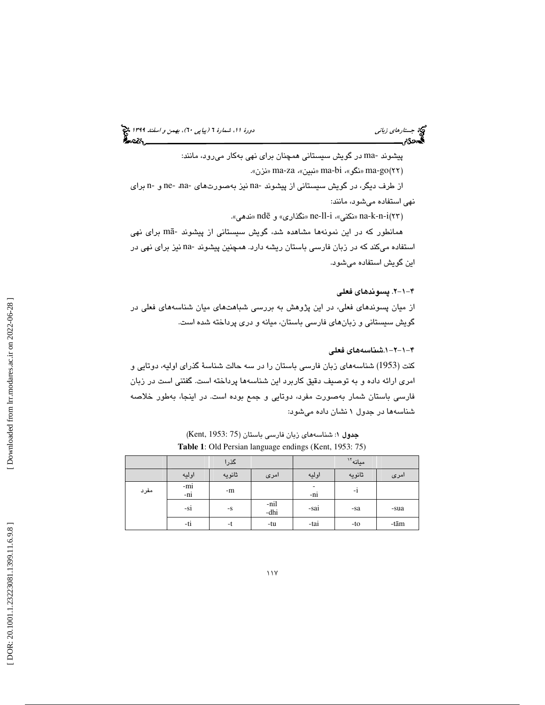جستاره*اي زباني (بياپي 60)، بهمن و اسفند 1*394 فجر بين دورة ،11، بهمن و اسفند 1394 فج

پيشوند -ma در گويش سيستاني همچنان براي نهي بهكار ميرود، مانند: .« نزن « ma-za « ، نبين « ma-bi « ، نگو « ma-go 22( ) از طرف ديگر، در گويش سيستاني از پيشوند -na نيز بهصورتهاي -na، -ne و -n براي نهي استفاده ميشود، مانند:

ma-k-n-i(۲۳) «نكني»، ne-ll-i «نگذارى» و ndē «ندهي».

همانطور كه در اين نمونهها مشاهده شد، گويش سيستاني از پيشوند -mā براي نهي استفاده ميكند كه در زبان فارسي باستان ريشه دارد. همچنين پيشوند -na نيز براي نهي در اين گويش استفاده ميشود.

#### -1-2. 4 پسوندهاي فعلي

از ميان پسوندهاي فعلي، در اين پژوهش به بررسي شباهتهاي ميان شناسههاي فعلي در گويش سيستاني و زبانهاي فارسي باستان، ميانه و دري پرداخته شده است.

#### -1. -1-2 4 شناسههاي فعلي

كنت (1953) شناسههاي زبان فارسي باستان را در سه حالت شناسة گذراي اوليه، دوتايي و امري ارائه داده و به توصيف دقيق كاربرد اين شناسهها پرداخته است. گفتني است در زبان فارسي باستان شمار بهصورت مفرد، دوتايي و جمع بوده است. در اينجا، بهطور خلاصه شناسهها در جدول 1 نشان داده ميشود:

|      |            | گذرا   |              |       | $^{\prime\prime}$ ميانه $^{\prime\prime}$ |      |
|------|------------|--------|--------------|-------|-------------------------------------------|------|
|      | اوليه      | ثانويه | امری         | اوليه | ثانويه                                    | امری |
| مفرد | -mi<br>-ni | -m     |              | -ni   | $-i$                                      |      |
|      | -si        | $-S$   | -nil<br>-dhi | -sai  | -sa                                       | -sua |
|      | -ti        | -t     | -tu          | -tai  | -to                                       | -tām |

جدول ۱: شناسههای زبان فارسی باستان (Kent, 1953: 75) **Table 1**: Old Persian language endings (Kent, 1953: 75)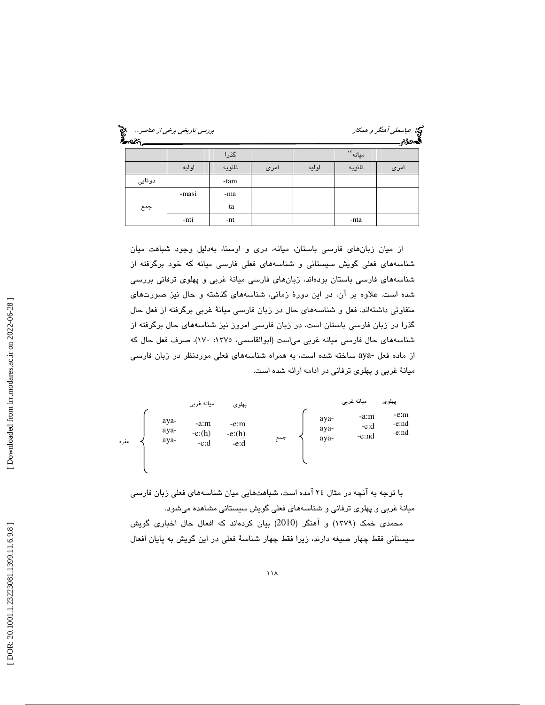| بررسی تاریخی بر <i>خی از عناصر</i><br>م <mark>حدث ت</mark> ریخی<br>مسلمات |        |        |      |       |                     | دی عب <i>اسعلی آهنگر و همکار</i><br>گمح <b>ددی بیست ک</b> |
|---------------------------------------------------------------------------|--------|--------|------|-------|---------------------|-----------------------------------------------------------|
|                                                                           |        | گذر ا  |      |       | مىانە <sup>١٢</sup> |                                                           |
|                                                                           | او لمه | ثانويه | امری | اوليه | ثانويه              | امری                                                      |
| دوتایی                                                                    |        | -tam   |      |       |                     |                                                           |
|                                                                           | -masi  | -ma    |      |       |                     |                                                           |
| جمع                                                                       |        | -ta    |      |       |                     |                                                           |
|                                                                           | -nti   | -nt    |      |       | -nta                |                                                           |

از ميان زبانهاي فارسي باستان، ميانه، دري و اوستا، بهدليل وجود شباهت ميان شناسههاي فعلي گويش سيستاني و شناسههاي فعلي فارسي ميانه كه خود برگرفته از شناسههاي فارسي باستان بودهاند، زبانهاي فارسي ميانة غربي و پهلوي ترفاني بررسي شده است. علاوه بر آن، در اين دورة زماني، شناسههاي گذشته و حال نيز صورتهاي متفاوتي داشتهاند. فعل و شناسههاي حال در زبان فارسي ميانة غربي برگرفته از فعل حال گذرا در زبان فارسي باستان است. در زبان فارسي امروز نيز شناسههاي حال برگرفته از شناسههاي حال فارسي ميانه غربي مياست (ابوالقاسمي، :1375 170). صرف فعل حال كه از ماده فعل -aya ساخته شده است، به همراه شناسههاي فعلي موردنظر در زبان فارسي ميانة غربي و پهلوي ترفاني در ادامه ارائه شده است.



با توجه به آنچه در مثال ٢٤ آمده است، شباهتهايی میان شناسههای فعلی زبان فارسی میانهٔ غربی و پهلوی ترفانی و شناسههای فعلی گویش سیستانی مشاهده میشود. محمدي خمك (1379) و آهنگر (2010) بيان كردهاند كه افعال حال اخباري گويش سيستاني فقط چهار صيغه دارند، زيرا فقط چهار شناسة فعلي در اين گويش به پايان افعال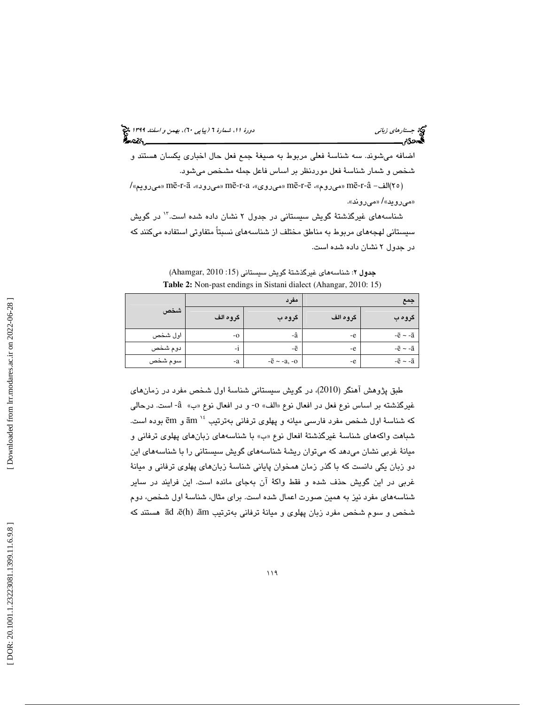# جستاره*اي زباني (بياپي 60)، بهمن و اسفند 1*394 فجر بين دورة ،11، بهمن و اسفند 1394 فج

اضافه ميشوند. سه شناسة فعلي مربوط به صيغة جمع فعل حال اخباري يكسان هستند و شخص و شمار شناسة فعل موردنظر بر اساس فاعل جمله مشخص ميشود.

(٢٥)الف- mē-r-â «ميروم»، mē-r-ē «ميروي»، mē-r-a «ميرود»، mē-r-ā «ميرود») «ميرويد»/ «ميروند».

شناسههاي غيرگذشتهٔ گويش سيستاني در جدول ۲ نشان داده شده است." در گويش سيستاني لهجههاي مربوط به مناطق مختلف از شناسههاي نسبتاً متفاوتي استفاده ميكنند كه در جدول ۲ نشان داده شده است.

|         |          | مفرد                | جمع      |                         |  |
|---------|----------|---------------------|----------|-------------------------|--|
| شخص     | گروھ الف | گروه ب              | گروھ الف | گروھ ب                  |  |
| اول شخص | $-0$     | -â                  | -e       | $-\bar{e}$ ~ $-\bar{a}$ |  |
| دوم شخص | -1       | -ē                  | -e       | $-\bar{e}$ ~ $-\bar{a}$ |  |
| سوم شخص | -a       | $-\bar{e}$ ~ -a, -o | -e       | $-\bar{e}$ ~ $-\bar{a}$ |  |

جدول 2: شناسههاي غيرگذشتة گويش سيستاني (:15 2010 ,Ahamgar( **Table 2:** Non-past endings in Sistani dialect (Ahangar, 2010: 15)

طبق پژوهش آهنگر (2010)، در گويش سيستاني شناسة اول شخص مفرد در زمانهاي غيرگذشته بر اساس نوع فعل در افعال نوع «الف» 0- و در افعال نوع «ب» â- است. درحالي و ēm بوده است. <sup>14</sup> كه شناسة اول شخص مفرد فارسي ميانه و پهلوي ترفاني بهترتيب ām شباهت واكههاي شناسهٔ غيرگذشتهٔ افعال نوع «ب» با شناسههاي زبانهاي پهلوي ترفاني و ميانة غربي نشان ميدهد كه ميتوان ريشة شناسههاي گويش سيستاني را با شناسههاي اين دو زبان يكي دانست كه با گذر زمان همخوان پاياني شناسة زبانهاي پهلوي ترفاني و ميانة غربي در اين گويش حذف شده و فقط واكة آن بهجاي مانده است. اين فرايند در ساير شناسههاي مفرد نيز به همين صورت اعمال شده است. براي مثال، شناسة اول شخص، دوم شخص و سوم شخص مفرد زبان پهلوی و ميانهٔ ترفانی بهترتيب ād ، $\bar{c}$ (h) ،ām هستند كه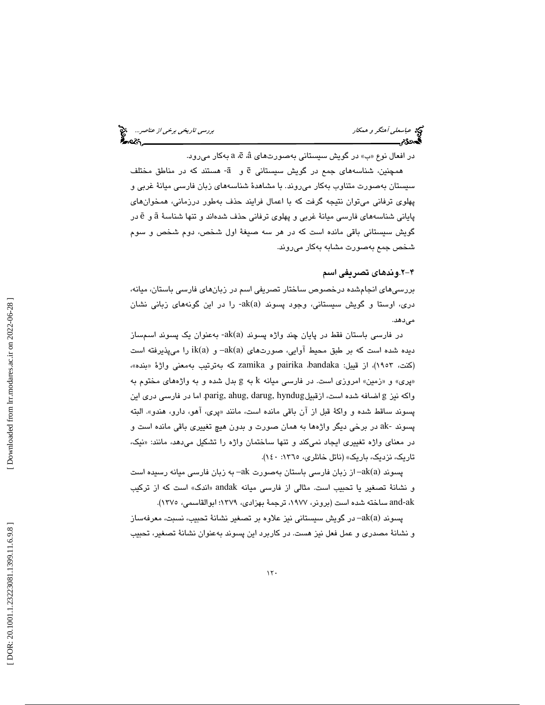عباسعلي آهنگر و همكار بررسي تاري*خي برخي از عناصر...*... هي استفاده بررسي تاري*خي برخي از عناصر...*... هي از عناصر<br>**البحادثي بررسي بررسي بررسي بررسي بررسي تاريخي بررسي تاريخي برخي از عناصر البحادثي بررسي** 

در افعال نوع «ب» در گویش سیستانی بهصورتهای â ،ē â بهکار میرود.

همچنين، شناسههاي جمع در گويش سيستاني ē و ā- هستند كه در مناطق مختلف سیستان بهصورت متناوب بهکار میروند. با مشاهدهٔ شناسههای زبان فارسی میانهٔ غربی و پهلوي ترفاني ميتوان نتيجه گرفت كه با اعمال فرايند حذف بهطور درزماني، همخوانهاي پایانی شناسههای فارسی میانهٔ غربی و پهلوی ترفانی حذف شدهاند و تنها شناسهٔ ā و ē در گويش سيستاني باقي مانده است كه در هر سه صيغة اول شخص، دوم شخص و سوم شخص جمع بهصورت مشابه بهكار ميروند.

#### -2. 4 وندهاي تصريفي اسم

بررسيهاي انجامشده درخصوص ساختار تصريفي اسم در زبانهاي فارسي باستان، ميانه، دري، اوستا و گويش سيستاني، وجود پسوند (a(ak- را در اين گونههاي زباني نشان مي دهد.

در فارسي باستان فقط در پايان چند واژه پسوند (a(ak- به عنوان يك پسوند اسمساز ديده شده است كه بر طبق محيط آوايي، صورتهاي ak(a) –ak(a) را ميپذيرفته است (كنت، ١٩٥٣)، از قيبل: pairika ،bandaka و zamika كه بهترتيب بهمعني واژهٔ «بنده»، «پري» و «زمين» امروزي است. در فارسي ميانه k به g بدل شده و به واژههاي مختوم به واكه نيز g اضافه شده است، ازقبيلjarig, ahug, darug, hyndug . اما در فارسي دري اين پسوند ساقط شده و واكهٔ قبل از آن باقی مانده است، مانند «پری، آهو، دارو، هندو». البته پسوند -ak در برخي ديگر واژهها به همان صورت و بدون هيچ تغييري باقي مانده است و در معناي واژه تغييري ايجاد نميكند و تنها ساختمان واژه را تشكيل ميدهد، مانند: «نيك، تاريك، نزديك، باريك» (ناتل خانلري، :1365 140 ).

پسوند (a(ak –از زبان فارسي باستان بهصورت ak –به زبان فارسي ميانه رسيده است و نشانة تصغير يا تحبيب است. مثالي از فارسي ميانه andak » اندك» است كه از تركيب ak-and ساخته شده است (برونر، ،1977 ترجمة بهزادي، 1379؛ ابوالقاسمي، 1375 ).

پسوند (a(ak –در گويش سيستاني نيز علاوه بر تصغير نشانة تحبيب، نسبت، معرفهساز و نشانة مصدري و عمل فعل نيز هست. در كاربرد اين پسوند بهعنوان نشانة تصغير، تحبيب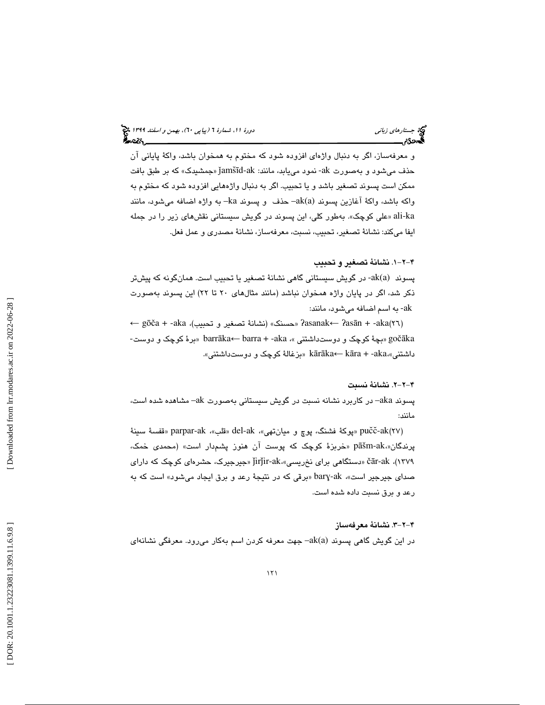و معرفهساز، اگر به دنبال واژهاي افزوده شود كه مختوم به همخوان باشد، واكة پاياني آن حذف میشود و بهصورت ak- نمود میLبابد، مانند: jamšīd-ak «جمشیدک» که بر طبق بافت ممكن است پسوند تصغير باشد و يا تحبيب. اگر به دنبال واژههايي افزوده شود كه مختوم به واكه باشد، واكة آغازين پسوند (ak(a=حذف و پسوند ka−به واژه اضافه ميشود، مانند ka-ali » علي كوچك». بهطور كلي، اين پسوند در گويش سيستاني نقشهاي زير را در جمله ايفا ميكند: نشانة تصغير، تحبيب، نسبت، معرفهساز، نشانة مصدري و عمل فعل.

-2-1 4 . نشانة تصغير و تحبيب

پسوند  $\rm k(a)$ - در گويش سيستاني گاهي نشانهٔ تصغير يا تحبيب است. همانگونه كه پيشتر ذكر شد، اگر در پايان واژه همخوان نباشد (مانند مثالهاي 20 تا 22) اين پسوند بهصورت ak- به اسم اضافه ميشود، مانند:

← حسنك» (نشانة تصغير و تحبيب)، aka- + gōča » ʔasanak ← ʔas ān + -aka 26( ) barr » برة كوچك و دوست- āka gočāka » بچة كوچك و دوستداشتني ، » aka- + barra← داشتنی»،kārāka← kāra + -aka «بزغالهٔ کوچک و دوستداشتنی».

#### -2-2. 4 نشانة نسبت

پسوند aka –در كاربرد نشانه نسبت در گويش سيستاني بهصورت ak –مشاهده شده است، مانند:

pučč-ak(۲۷) «پوكة فشنگ، پوچ و ميانتهي»، del-ak «قلب»، parpar-ak «قفسة سينة پرندگان«،pāšm-ak «خربزهٔ کوچک که پوست آن هنوز پشمدار است» (محمدی خمک، « جيرجيرك، حشرهاي كوچك كه داراي ǰirǰir-ak «، نخريسي براي دستگاهي « čār-ak ،(1379 صدای جیرجیر است»، bary-ak «برقی كه در نتیجهٔ رعد و برق ایجاد میشود» است كه به رعد و برق نسبت داده شده است.

#### -2-3. 4 نشانة معرفهساز

در اين گويش گاهي پسوند  $\mathrm{ak(a)}$  جهت معرفه كردن اسم بهكار مي $\mathrm{c}$ ود. معرفگي نشانهاي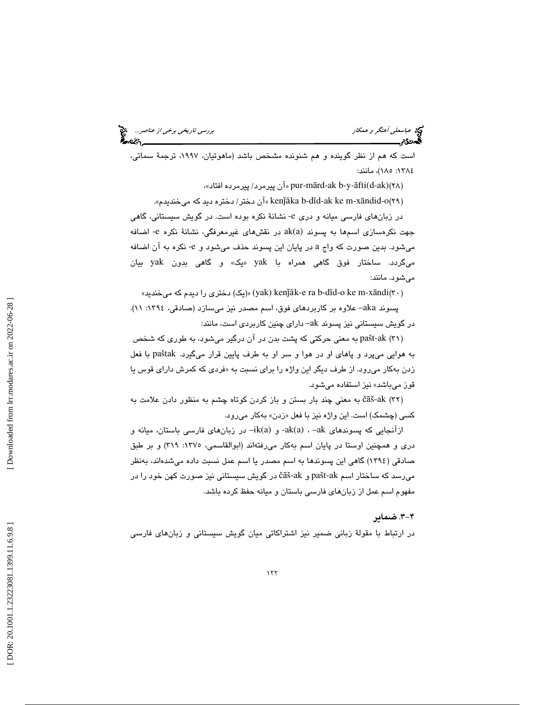عباسعلی آهنگر و همكار بررسي تاري*خي برخي از عناصر...*. المنتج<br>ال**این بررسي تاريخي بررسي تاريخي بررسي تاريخي بررسي تاريخي برخي از عناصر...**<br>ا**لاین بررسي تاريخي بررسي تاريخي بررسي تاريخي بررسي تاريخي بررسي تاريخي بررسي تاري** 

است كه هم از نظر گوينده و هم شنونده مشخص باشد (ماهوتيان، ،1997 ترجمة سماتي، :1384 185)، مانند:

آن پیرمرد/ پیرمرده افتاد»، pur-mārd-ak b-y-āfti(d-ak)(۲۸)

kenj̄āka b-dīd-ak ke m-xāndid-o(۲۹) «آن دختر/ دختره دید که میخندیدم».

در زبانهاي فارسي ميانه و دري e- نشانة نكره بوده است. در گويش سيستاني، گاهي جهت نكرهسازي اسمها به پسوند (a(ak در نقشهاي غيرمعرفگي، نشانة نكره e- اضافه مي شود. بدين صورت كه واج a در پايان اين پسوند حذف مي شود و e- نكره به آن اضافه ميگردد. ساختار فوق گاهي همراه با yak » يك» و گاهي بدون yak بيان ميشود. مانند:

سيخند» (yak) kenj̄āk-e ra b-dīd-o ke m-xāndi(٣٠))» (ایک) دختری را دیدم که میخندید $\sinh(\theta)$ 

 پسوند aka –علاوه بر كاربردهاي فوق، اسم مصدر نيز ميسازد (صادقي، :1394 11). در گويش سيستاني نيز پسوند ak –داراي چنين كاربردي است، مانند:

pašt-ak (۳۱) به معنی حرکتی که پشت بدن در آن درگیر میشود، به طوری که شخص به هوايي ميپرد و پاهاي او در هوا و سر او به طرف پايين قرار ميگيرد. paštak با فعل زدن بهكار مىرود. از طرف ديگر اين واژه را براى نسبت به «فردى كه كمرش داراي قوس يا قوز ميباشد» نيز استفاده ميشود.

čāš-ak (٣٢) به معنى چند بار بستن و باز كردن كوتاه چشم به منظور دادن علامت به كسي (چشمک) است. اين واژه نيز با فعل «زدن» بهكار ميرود.

ازآنجايي كه پسوندهاي ak(a) -، -ak- و (a)- ندر زبانهاي فارسي باستان، ميانه و دري و همچنين اوستا در پايان اسم بهكار مي فتهاند (ابوالقاسمي، ١٣٧٥: ٢١٩) و بر طبق صادقي (1394) گاهي اين پسوندها به اسم مصدر يا اسم عمل نسبت داده ميشدهاند، بهنظر ميرسد كه ساختار اسم ak-pašt و ak-čāš در گويش سيستاني نيز صورت كهن خود را در مفهوم اسم عمل از زبانهاي فارسي باستان و ميانه حفظ كرده باشد.

#### -3. 4 ضماير

در ارتباط با مقولة زباني ضمير نيز اشتراكاتي ميان گويش سيستاني و زبانهاي فارسي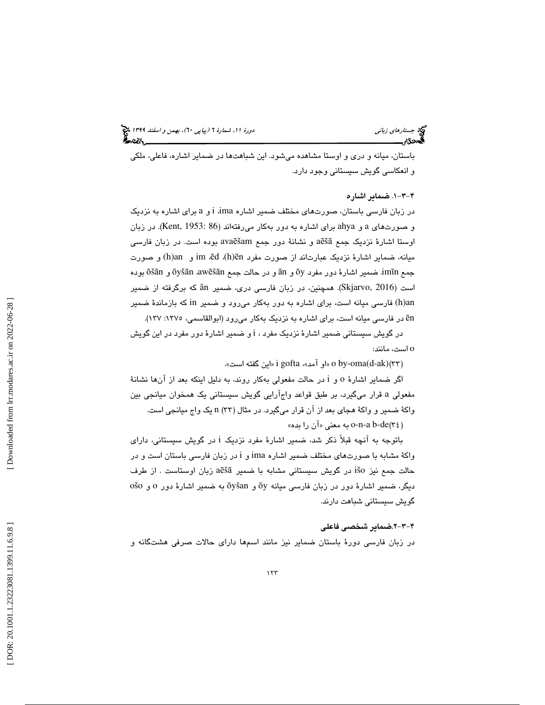باستان، ميانه و دري و اوستا مشاهده ميشود. اين شباهتها در ضماير اشاره، فاعلي، ملكي و انعكاسي گويش سيستاني وجود دارد.

#### -3-1. 4 ضماير اشاره

در زبان فارسی باستان، صورتهای مختلف ضمیر اشاره i ima و a برای اشاره به نزدیک و صورتهای a و ahya برای اشاره به دور بهکار میرفتهاند (Kent, 1953: 86). در زبان اوستا اشارهٔ نزدیک جمع aēšā و نشانهٔ دور جمع avaēšam بوده است. در زبان فارسی ميانه، ضماير اشارهٔ نزديک عبارتاند از صورت مفرد im .ēd ،(h)ēn و صورت جمع imīn. ضمير اشارهٔ دور مفرد ōy و ān و در حالت جمع ōyšān ،awēšān و ōšān بوده است (2016 ,Skjarvo(. همچنين، در زبان فارسي دري، ضمير ân كه برگرفته از ضمير an)h (فارسي ميانه است، براي اشاره به دور بهكار ميرود و ضمير in كه بازماندة ضمير در فارسي ميانه است، براي اشاره به نزديك بهكار ميرود (ابوالقاسمي، :1375 137 ). ē n

در گويش سيستانی ضمير اشارهٔ نزديک مفرد ، i و ضمير اشارهٔ دور مفرد در اين گويش است، مانند: o

است». أو آمد»، i gofta «او آمد» i gofta «اين گفته است».  $\alpha$  by-oma(d-ak)  $(\mathsf{r} \mathsf{r})$ 

اگر ضماير اشارهٔ o و i در حالت مفعولی بهكار روند، به دليل اينكه بعد از آنها نشانهٔ مفعولی a قرار میگیرد، بر طبق قواعد واجآرایی گویش سیستانی یک همخوان میانجی بین واكهٔ ضمير و واكهٔ هجای بعد از آن قرار میگیرد. در مثال (۳۳) n یک واج میانجی است.

o-n-a b-de(۳٤) به معنی «آن را بده»

باتوجه به آنچه قبلاً ذکر شد، ضمیر اشارهٔ مفرد نزدیک i در گویش سیستانی، دارای واكهٔ مشابه با صورتهای مختلف ضمیر اشاره ima و i در زبان فارسی باستان است و در زبان اوستاست . از طرف a ē š حالت جمع نيز išo در گويش سيستاني مشابه با ضمير ā و ošo به ضمير اشارة دور o و ōyšan ō ديگر، ضمير اشارة دور در زبان فارسي ميانه y گويش سيستاني شباهت دارند.

#### -3-2. 4 ضماير شخصي فاعلي

در زبان فارسي دورة باستان ضماير نيز مانند اسمها داراي حالات صرفي هشتگانه و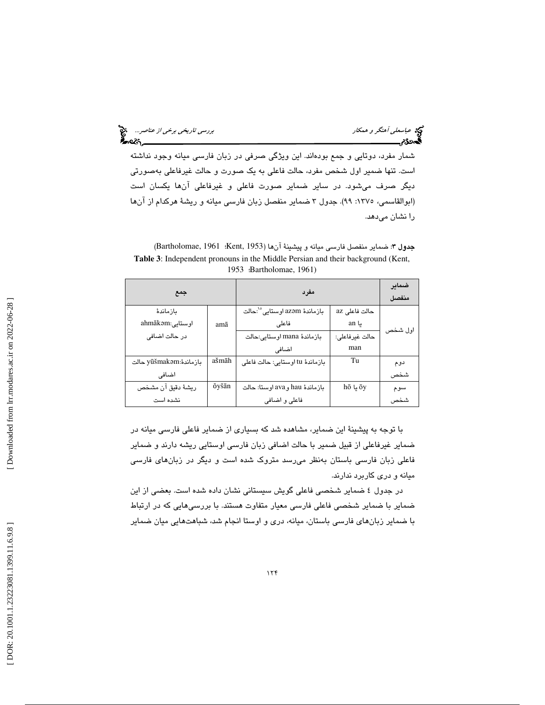عباسعلي آهنگر و همكار بررسي تاريخي برخي از عناصر...

شمار مفرد، دوتايي و جمع بودهاند. اين ويژگي صرفي در زبان فارسي ميانه وجود نداشته است. تنها ضمير اول شخص مفرد، حالت فاعلي به يك صورت و حالت غيرفاعلي بهصورتي ديگر صرف ميشود. در ساير ضماير صورت فاعلي و غيرفاعلي آنها يكسان است (ابوالقاسمي، :1375 99). جدول 3 ضماير منفصل زبان فارسي ميانه و ريشة هركدام از آنها را نشان ميدهد.

جدول 3: ضماير منفصل فارسي ميانه و پيشينة آنها (1953 ,Kent؛ 1961 ,Bartholomae( **Table 3**: Independent pronouns in the Middle Persian and their background (Kent, 1953 :Bartholomae, 1961)

| جمع                    |       | مفرد                            | ضماير<br>منغصل |         |
|------------------------|-------|---------------------------------|----------------|---------|
| بازماندهٔ              |       | بازماندهٔ azəm اوستایی°`:حالت   | az حالت فاعلى  |         |
| ahmākəm: اوستايى       | amā   | فاعلى                           | an L           |         |
| در حالت اضافی          |       | بازماندۂ mana اوستابے،حالت      | حالت غيرفاعلى: | اول شخص |
|                        |       | اضافی                           | man            |         |
| ىازماندة:yūšmakəm حالت | ašmāh | بازماندة tu اوستايى: حالت فاعلى | Tu             | دوم     |
| اضافى                  |       |                                 |                | شخص     |
| ريشهٔ دقيق آن مشخص     | ōyšān | بازماندهٔ hau وava اوستا: حالت  | bō یا ōy       | سوم     |
| نشده است               |       | فاعلى و اضافى                   |                | شخص     |

با توجه به پیشینهٔ این ضمایر، مشاهده شد که بسیاری از ضمایر فاعلی فارسی میانه در ضماير غيرفاعلي از قبيل ضمير با حالت اضافي زبان فارسي اوستايي ريشه دارند و ضماير فاعلي زبان فارسي باستان بهنظر ميرسد متروك شده است و ديگر در زبانهاي فارسي ميانه و دري كاربرد ندارند.

در جدول 4 ضماير شخصي فاعلي گويش سيستاني نشان داده شده است. بعضي از اين ضماير با ضماير شخصي فاعلي فارسي معيار متفاوت هستند. با بررسيهايي كه در ارتباط با ضماير زبانهاي فارسي باستان، ميانه، دري و اوستا انجام شد، شباهتهايي ميان ضماير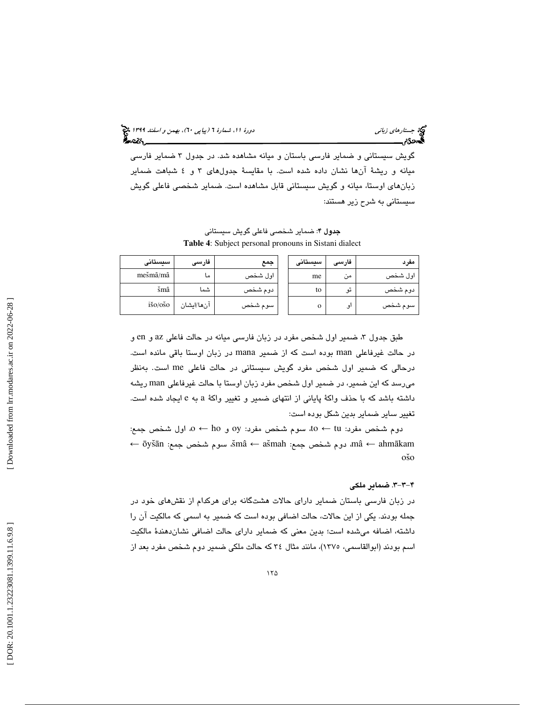جستاره*اي زباني (بياپي 60)، بهمن و اسفند 1*394 فجر بين دورة ،11، بهمن و اسفند 1394 فج

گويش سيستاني و ضماير فارسي باستان و ميانه مشاهده شد. در جدول 3 ضماير فارسي ميانه و ريشة آنها نشان داده شده است. با مقايسة جدولهاي 3 4و شباهت ضماير زبانهاي اوستا، ميانه و گويش سيستاني قابل مشاهده است. ضماير شخصي فاعلي گويش سيستاني به شرح زير هستند:

جدول 4: ضماير شخصي فاعلي گويش سيستاني **Table 4**: Subject personal pronouns in Sistani dialect

| سیستانی                              | فارسى      | جمع     | سيستانى | فارسى | معرد    |
|--------------------------------------|------------|---------|---------|-------|---------|
| mešmâ/mâ                             | ما         | اول شخص | me      | من    | اول شخص |
| šmâ                                  | شما        | دوم شخص | to      | تو    | دوم شخص |
| $i\breve{\text{SO}}$ <sub>0</sub> so | آنھا/ایشان | سوم شخص | O       | او.   | سوم شخص |

، ضمير اول شخص مفرد در زبان فارسي ميانه در حالت فاعلي az و en و طبق جدول 3 در حالت غيرفاعلي man بوده است كه از ضمير mana در زبان اوستا باقي مانده است. درحالي كه ضمير اول شخص مفرد گويش سيستاني در حالت فاعلي me است. بهنظر ميرسد كه اين ضمير، در ضمير اول شخص مفرد زبان اوستا با حالت غيرفاعلي man ريشه داشته باشد كه با حذف واكهٔ پايانى از انتهاى ضمير و تغيير واكهٔ a به e ايجاد شده است. تغيير ساير ضماير بدين شكل بوده است:

، اول شخص جمع: o to، سوم شخص مفرد: oy و ho← دوم شخص مفرد: tu← ← ōys̆ ā ، سوم شخص جمع: n s̆mâ mâ، دوم شخص جمع: mah̆as← ← ahm ākam os̆ o

#### -3-3. 4 ضماير ملكي

در زبان فارسي باستان ضماير داراي حالات هشتگانه براي هركدام از نقشهاي خود در جمله بودند. يكي از اين حالات، حالت اضافي بوده است كه ضمير به اسمي كه مالكيت آن را داشته، اضافه ميشده است؛ بدين معني كه ضماير داراي حالت اضافي نشاندهندة مالكيت اسم بودند (ابوالقاسمي، 1375)، مانند مثال 34 كه حالت ملكي ضمير دوم شخص مفرد بعد از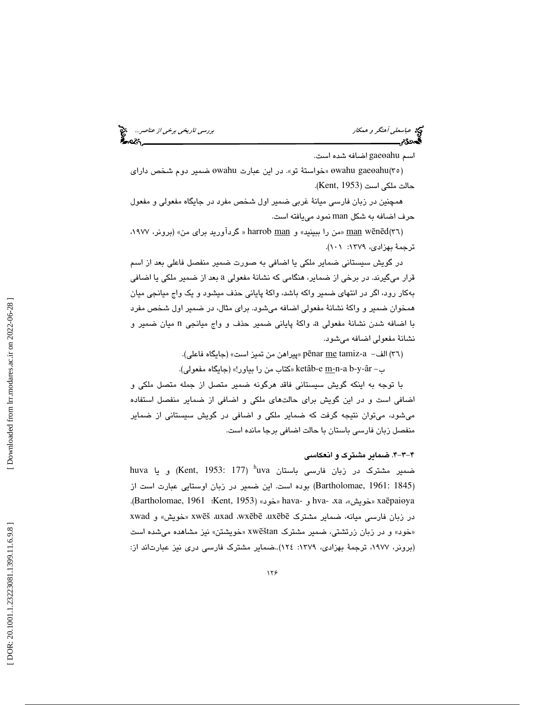عباسعل*ي آهنگر و همكار بررسي تاريخي برخي از عناصر...*<br>المحمد تاريخي برخي از عناصر...<br>**المحمد تاريخي بررسي بررسي بررسي بررسي تاريخي بررسي تاريخي بررسي تاريخي بررسي تاريخي برخي بررسي بررسي بررسي بر** 

اسم gaeoahu اضافه شده است.

ضمير دوم شخص داراي « خواستة تو». در اين عبارت ɵwahu ɵwahu gae ɵahu 35( ) حالت ملكي است (Kent, 1953).

همچنين در زبان فارسي ميانة غربي ضمير اول شخص مفرد در جايگاه مفعولي و مفعول حرف اضافه به شكل man نمود مييافته است.

nan wēnēd(٣٦) «من را ببينيد» و harrob man «كردآوريد براي من» (برونر، ١٩٧٧، ترجمة بهزادي، ١٣٧٩: ١٠١).

در گويش سيستاني ضماير ملكي يا اضافي به صورت ضمير منفصل فاعلي بعد از اسم قرار ميگيرند. در برخي از ضماير، هنگامي كه نشانهٔ مفعولي a بعد از ضمير ملكي يا اضافي بهكار رود، اگر در انتهاي ضمير واكه باشد، واكة پاياني حذف ميشود و يك واج ميانجي ميان همخوان ضمير و واكة نشانة مفعولي اضافه ميشود. براي مثال، در ضمير اول شخص مفرد با اضافه شدن نشانة مفعولي a، واكة پاياني ضمير حذف و واج ميانجي n ميان ضمير و نشانة مفعولي اضافه ميشود.

pēnar <u>me</u> tamiz-a – الف- pēnar <u>me</u> tamiz-a <sub>("</sub>پيراهن من تميز است» (جايگاه فاعلي).

ب- ketâb-e <u>m-</u>n-a b-y-âr «كتاب من را بياور!» (جايگاه مفعولي).

با توجه به اينكه گويش سيستاني فاقد هرگونه ضمير متصل از جمله متصل ملكي و اضافي است و در اين گويش براي حالتهاي ملكي و اضافي از ضماير منفصل استفاده ميشود، ميتوان نتيجه گرفت كه ضماير ملكي و اضافي در گويش سيستاني از ضماير منفصل زبان فارسي باستان با حالت اضافي برجا مانده است.

#### -3-4. 4 ضماير مشترك و انعكاسي

huva فسمير مشترک در زبان فارسی باستان <sup>h</sup>uva <sup>h</sup>uva و يا لا (Bartholomae, 1961: 1845) بوده است. اين ضمير در زبان اوستايي عبارت است از .(Bartholomae, 1961 :Kent, 1953) «خود» (hava- «a ، خود» (kartholomae, 1961). در زبان فارسی ميانه، ضماير مشترک xwēš ،uxad ،wxēbē ،uxēbē «خويش» و xwad «خود» و در زبان زرتشتی، ضمیر مشترک xwēštan «خویشتن» نیز مشاهده میشده است (برونر، ١٩٧٧، ترجمهٔ بهزادی، ١٣٧٩: ١٢٤)..ضمایر مشترک فارسی دری نیز عبارتاند از: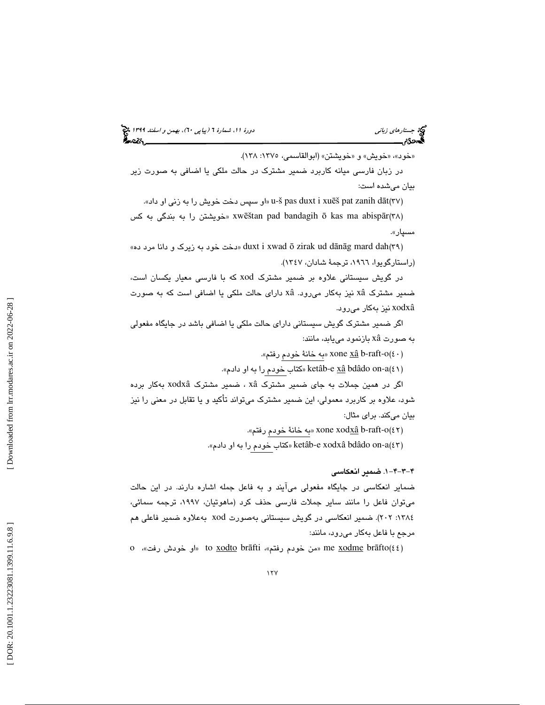جستاره*اي زباني (بياپي 60)، بهمن و اسفند 1*394 فجر بين دورة ،11، بهمن و اسفند 1394 فج

«خود»، «خويش» و «خويشتن» (ابوالقاسمي، ١٣٧٥: ١٣٨). در زبان فارسي ميانه كاربرد ضمير مشترك در حالت ملكي يا اضافي به صورت زير

بيان ميشده است:

u-š pas duxt i xuēš pat zanih dāt(۳۷) «او سپس دخت خويش را به زني او داد».

سخويشتن را به بندگي به كس xwēštan pad bandagih ō kas ma abispār(٣٨) مسپار».

«دخت خود به زيرك و دانا مرد ده» duxt i xwad ō zirak ud dānāg mard dah(٣٩) (راستارگويوا، ١٩٦٦، ترجمهٔ شادان، ١٣٤٧).

در گويش سيستاني علاوه بر ضمير مشترك xod كه با فارسي معيار يكسان است، ضمير مشترك xâ نيز بهكار مي رود. xâ داراي حالت ملكي يا اضافي است كه به صورت xodxâ نيز بهكار ميرود.

اگر ضمير مشترك گويش سيستاني داراي حالت ملكي يا اضافي باشد در جايگاه مفعولي به صورت xâ بازنمود مييابد، مانند:

سبه خانهٔ خودم رفتم». xone <u>xâ</u> b-raft-o $(\mathfrak{z} \cdot)$ 

«كتاب خودم را به او دادم». ketâb-e <u>xâ</u> bdâdo on-a $(\mathfrak{c} \, \mathfrak{t})$ 

اگر در همين جملات به جاي ضمير مشترك xâ ، ضمير مشترك xodxâ به كار برده شود، علاوه بر كاربرد معمولي، اين ضمير مشترك ميتواند تأكيد و يا تقابل در معني را نيز بيان ميكند. براي مثال:

«به خانهٔ خودم رفتم».<br>2011-0 xone xod

)43 a-on bdâdo xodxâ e-ketâb » كتاب خودم را به او دادم ». )

#### -1. -3-4 4 ضمير انعكاسي

ضماير انعكاسي در جايگاه مفعولي ميآيند و به فاعل جمله اشاره دارند. در اين حالت ميتوان فاعل را مانند ساير جملات فارسي حذف كرد (ماهوتيان، ،1997 ترجمه سمائي، :1384 202). ضمير انعكاسي در گويش سيستاني بهصورت xod به علاوه ضمير فاعلي هم مرجع با فاعل بهكار ميرود، مانند:

o « ، رفت خودش او « to xodto br āfti « ، رفتم خودم من « me xodme br āfto 44( )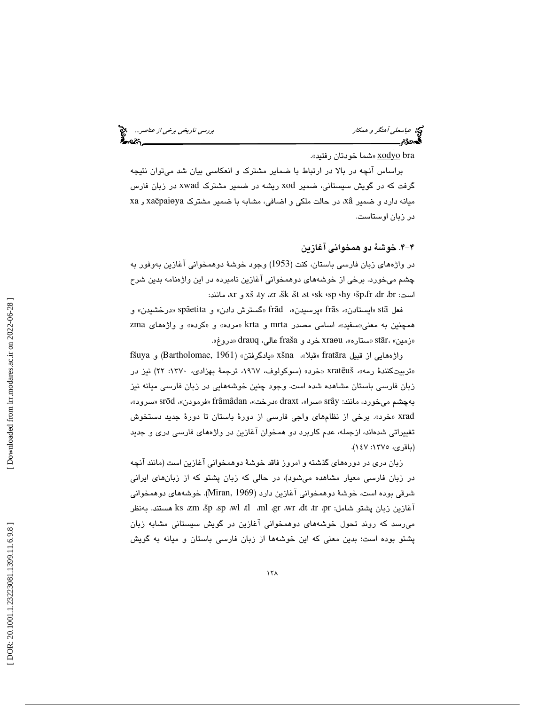عباسعلی آهنگر و همکار بررسي تاري*خي برخي از عناصر...*... التي بررسي تاري*خي برخي از عناصر...*... التي برخي از عناصر...<br>**التي بررسي بررسي بررسي بررسي بررسي بررسي بررسي تاريخي برخي از عناصر التي بررسي تاريخي برخي از عناصر ا** 

bra xodyo » شما خودتان رفتيد ». براساس آنچه در بالا در ارتباط با ضماير مشترك و انعكاسي بيان شد ميتوان نتيجه گرفت كه در گويش سيستاني، ضمير xod ريشه در ضمير مشترك xwad در زبان فارس

میانه دارد و ضمیر xâ، در حالت ملکی و اضافی، مشابه با ضمیر مشترک xaēpaieya و xa در زبان اوستاست.

#### -4. 4 خوشة دو همخواني آغازين

در واژههاي زبان فارسي باستان، كنت (1953) وجود خوشة دوهمخواني آغازين بهوفور به چشم ميخورد. برخي از خوشههاي دوهمخواني آغازين نامبرده در اين واژهنامه بدين شرح :مانند ،xr و xš ،ty ،zr ،šk ،št ،st ،sk ،sp ،hy ،šp ،fr ،dr ،br :است

فعل stā «ايستادن»، frās «پرسيدن»، frâd «گسترش دادن» و spâetita «درخشيدن» و ، اسامي مصدر mrta و krta » مرده» «و كرده» و واژههاي zma همچنين به معن «ي سفيد» «زمین» ،stār «ستاره»، xraou خرد و fraša عالی، drauq «دروغ».

fšuya و) Bartholomae, 1961) «يادگرفتن « xšna « ، قبلا « frat واژههايي از قبيل āra «تربيتكنندهٔ رمه»، Xratēuš «خرد» (سوكولوف، ١٩٦٧، ترجمهٔ بهزادی، ١٣٧٠: ٢٢) نيز در زبان فارسي باستان مشاهده شده است. وجود چنين خوشه هايي در زبان فارسي ميانه نيز بهچشم میخورد، مانند: srây «سرا»، draxt «درخت»، frâmâdan «فرمودن»، srōd «سرود»، xrad » خرد». برخي از نظامهاي واجي فارسي از دورة باستان تا دورة جديد دستخوش تغييراتي شدهاند، ازجمله، عدم كاربرد دو همخوان آغازين در واژههاي فارسي دري و جديد (باقري، :1375 147 ).

زبان دري در دورههاي گذشته و امروز فاقد خوشة دوهمخواني آغازين است (مانند آنچه در زبان فارسي معيار مشاهده ميشود)، در حالي كه زبان پشتو كه از زبانهاي ايراني شرقي بوده است، خوشة دوهمخواني آغازين دارد (1969 ,Miran(. خوشههاي دوهمخواني بهنظر .هستند ks ،zm ،šp ،sp ،wl ،tl ،ml ،gr ،wr ،dt ،tr ،pr :شامل پشتو زبان آغازين ميرسد كه روند تحول خوشههاي دوهمخواني آغازين در گويش سيستاني مشابه زبان پشتو بوده است؛ بدين معني كه اين خوشهها از زبان فارسي باستان و ميانه به گويش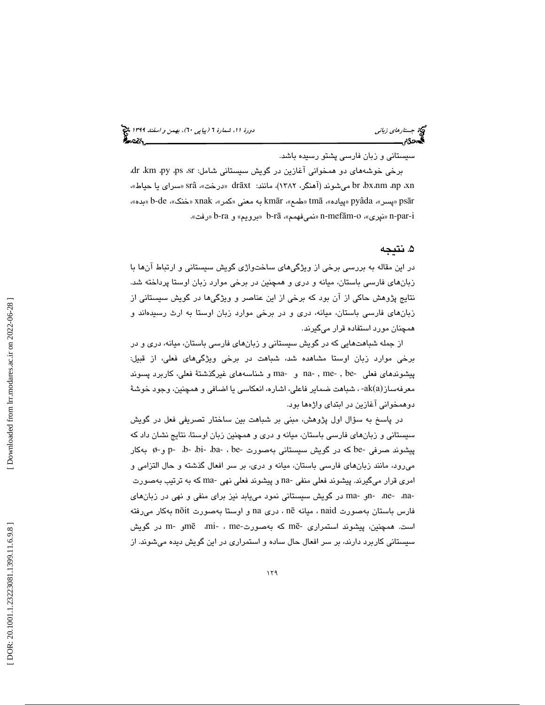جستاره*اي زباني (بياپي 60)، بهمن و اسفند 1*394 فجر بين دورة ،11، بهمن و اسفند 1394 فج

سيستاني و زبان فارسي پشتو رسيده باشد.

برخي خوشه هاي دو همخواني آغازين در گويش سيستاني شامل: sr، ps، py، km، dr ، br ،bx،nm ،np ،xn ميشوند (آهنگر، ١٣٨٢)، مانند: drāxt «درخت»، srâ «سراى يا حياط»، pyâda «پیاده»، tmā «طمع»، kmār به معنی «کمر»، xnak «خنک»، b-de «بده»، m-par-i (نپري)»، n-mefām-o (نميفهمم))، b-rā «برويم)) و b-ra (رفت).

### 5. نتيجه

در اين مقاله به بررسي برخي از ويژگيهاي ساختواژي گويش سيستاني و ارتباط آنها با زبانهاي فارسي باستان، ميانه و دري و همچنين در برخي موارد زبان اوستا پرداخته شد. نتايج پژوهش حاكي از آن بود كه برخي از اين عناصر و ويژگيها در گويش سيستاني از زبانهاي فارسي باستان، ميانه، دري و در برخي موارد زبان اوستا به ارث رسيدهاند و همچنان مورد استفاده قرار ميگيرند.

از جمله شباهتهايي كه در گويش سيستاني و زبانهاي فارسي باستان، ميانه، دري و در برخي موارد زبان اوستا مشاهده شد، شباهت در برخي ويژگيهاي فعلي، از قبيل: پيشوندهاي فعلي -be , me- , be و -ma و شناسههاي غيرگذشتهٔ فعلي، كاربرد پسوند معرفهساز(a(ak- ، شباهت ضماير فاعلي، اشاره، انعكاسي يا اضافي و همچنين، وجود خوشة دوهمخواني آغازين در ابتداي واژهها بود.

در پاسخ به سؤال اول پژوهش، مبني بر شباهت بين ساختار تصريفي فعل در گويش سيستاني و زبانهاي فارسي باستان، ميانه و دري و همچنين زبان اوستا، نتايج نشان داد كه پيشوند صرفي -be كه در گويش سيستاني بهصورت -be ، -ba، -bi، -b، -p و -ø بهكار ميرود، مانند زبانهاي فارسي باستان، ميانه و دري، بر سر افعال گذشته و حال التزامي و امري قرار ميگيرند. پيشوند فعلي منفي -na و پيشوند فعلي نهي -ma كه به ترتيب بهصورت -na ، -ne، -nو-ma در گويش سيستاني نمود مييابد نيز براي منفي و نهي در زبانهاي فارس باستان بهصورت naid ، ميانه nē ، درى na و اوستا بهصورت nōit بهكار مىرفته است. همچنين، پيشوند استمراري -mē كه بهصورت-me ، mi ، me و mē در گويش سيستاني كاربرد دارند، بر سر افعال حال ساده و استمراري در اين گويش ديده ميشوند. از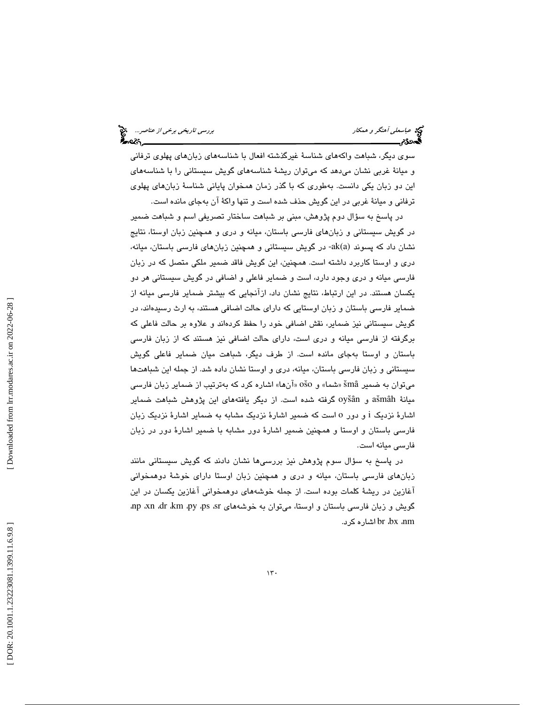عباسعلي آهنگر و همكار بررسي تاريخي برخي از عناصر... . . ...<br>پررسي تاريخي برخي از عناصر...<br>پروتئي بررسي بررسي بررسي بررسي تاريخي بررسي تاريخي بررسي تاريخي بررسي تاريخي براي

سوي ديگر، شباهت واكههاي شناسة غيرگذشته افعال با شناسههاي زبانهاي پهلوي ترفاني و ميانة غربي نشان ميدهد كه ميتوان ريشة شناسههاي گويش سيستاني را با شناسههاي اين دو زبان يكي دانست. بهطوري كه با گذر زمان همخوان پاياني شناسة زبانهاي پهلوي ترفاني و ميانة غربي در اين گويش حذف شده است و تنها واكة آن بهجاي مانده است.

در پاسخ به سؤال دوم پژوهش، مبني بر شباهت ساختار تصريفي اسم و شباهت ضمير در گويش سيستاني و زبانهاي فارسي باستان، ميانه و دري و همچنين زبان اوستا، نتايج نشان داد كه پسوند (a(ak- در گويش سيستاني و همچنين زبانهاي فارسي باستان، ميانه، دري و اوستا كاربرد داشته است. همچنين، اين گويش فاقد ضمير ملكي متصل كه در زبان فارسي ميانه و دري وجود دارد، است و ضماير فاعلي و اضافي در گويش سيستاني هر دو يكسان هستند. در اين ارتباط، نتايج نشان داد، ازآنجايي كه بيشتر ضماير فارسي ميانه از ضماير فارسي باستان و زبان اوستايي كه داراي حالت اضافي هستند، به ارث رسيدهاند، در گويش سيستاني نيز ضماير، نقش اضافي خود را حفظ كردهاند و علاوه بر حالت فاعلي كه برگرفته از فارسي ميانه و دري است، داراي حالت اضافي نيز هستند كه از زبان فارسي باستان و اوستا بهجاي مانده است. از طرف ديگر، شباهت ميان ضماير فاعلي گويش سيستاني و زبان فارسي باستان، ميانه، دري و اوستا نشان داده شد. از جمله اين شباهتها میتوان به ضمیر šmâ «شما» و ošo «آنها» اشاره کرد که بهترتیب از ضمایر زبان فارسی ميانة ašmâh و oyšân گرفته شده است. از ديگر يافتههاي اين پژوهش شباهت ضماير اشارة نزديك i و دور o است كه ضمير اشارة نزديك مشابه به ضماير اشارة نزديك زبان فارسي باستان و اوستا و همچنين ضمير اشارة دور مشابه با ضمير اشارة دور در زبان فارسي ميانه است.

در پاسخ به سؤال سوم پژوهش نيز بررسيها نشان دادند كه گويش سيستاني مانند زبانهاي فارسي باستان، ميانه و دري و همچنين زبان اوستا داراي خوشة دوهمخواني آغازين در ريشة كلمات بوده است. از جمله خوشههاي دوهمخواني آغازين يكسان در اين گويش و زبان فارسي باستان و اوستا، ميتوان به خوشههاي sr، ps، py، km، dr، xn، np، .كرد اشاره br ،bx ،nm

 [\[ DOR: 20.1001.1.23223081.1399.11.6.9.8](https://dorl.net/dor/20.1001.1.23223081.1399.11.6.9.8) ] [\[ Downloaded from lrr.modares.ac.ir on 20](https://lrr.modares.ac.ir/article-14-28865-fa.html)22-06-28 ] Downloaded from hr.modares.ac.ir on 2022-06-28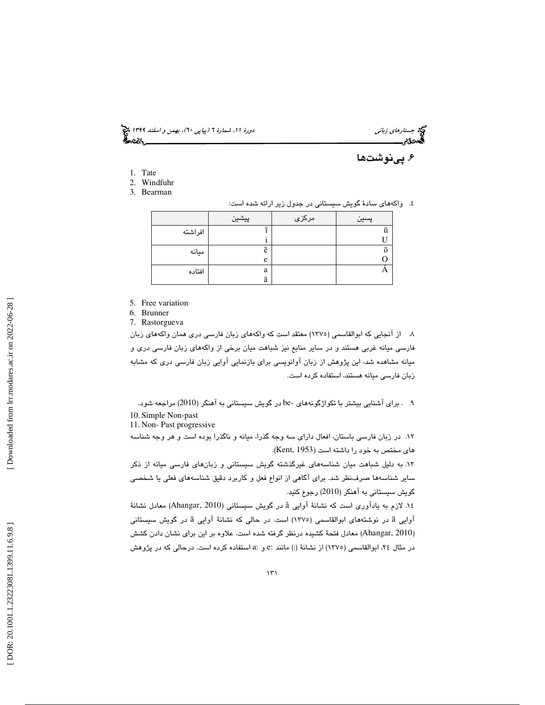جستاره*اي زباني (بياپي 60)، بهمن و اسفند 1*394 فرانس به 130 دورة ا $\mu$  شمارة 1 (پياپي 61)، بهم*ن و اسفند 1*34 فر

6. پينوشت ها

- 1. Tate
- 2. Windfuhr
- 3. Bearman

4. واكههاي سادة گويش سيستاني در جدول زير ارائه شده است:

|         | پیشین | مرکزی | پسين |
|---------|-------|-------|------|
| افراشته |       |       | ū    |
|         |       |       |      |
| ميانه   | ē     |       |      |
|         | e     |       |      |
| افتاده  | a     |       |      |
|         | ā     |       |      |

5. Free variation

6. Brunner

7. Rastorgueva

8. از آنجايي كه ابوالقاسمي (1375) معتقد است كه واكههاي زبان فارسي دري همان واكههاي زبان فارسي ميانه غربي هستند و در ساير منابع نيز شباهت ميان برخي از واكههاي زبان فارسي دري و ميانه مشاهده شد، اين پژوهش از زبان آوانويسي براي بازنمايي آوايي زبان فارسي دري كه مشابه زبان فارسي ميانه هستند، استفاده كرده است.

9. . براي آشنايي بيشتر با تكواژگونههاي -be در گويش سيستاني به آهنگر (2010) مراجعه شود. 10. Simple Non-past

11. Non- Past progressive

12. در زبان فارسي باستان، افعال داراي سه وجه گذرا، ميانه و ناگذرا بوده است و هر وجه شناسه هاي مختص به خود را داشته است (Kent, 1953).

13. به دليل شباهت ميان شناسههاي غيرگذشته گويش سيستاني و زبانهاي فارسي ميانه از ذكر ساير شناسهها صرفنظر شد. براي آگاهي از انواع فعل و كاربرد دقيق شناسههاي فعلي يا شخصي گويش سيستاني به آهنگر (2010) رجوع كنيد.

1⁄2. لازم به يادآورى است كه نشانهٔ آوايى â در گويش سيستانى (Ahangar, 2010) معادل نشانهٔ .<br>آوایی ā در نوشتههای ابوالقاسمی (۱۳۷۵) است. در حالی که نشانهٔ آوایی ā در گویش سیستانی (Ahangar, 2010) معادل فتحهٔ كشيده درنظر گرفته شده است. علاوه بر اين براي نشان دادن كشش در مثال ٢٤، ابوالقاسمي (١٣٧٥) از نشانهٔ (:) مانند :e و :a استفاده كرده است. درحالي كه در پژوهش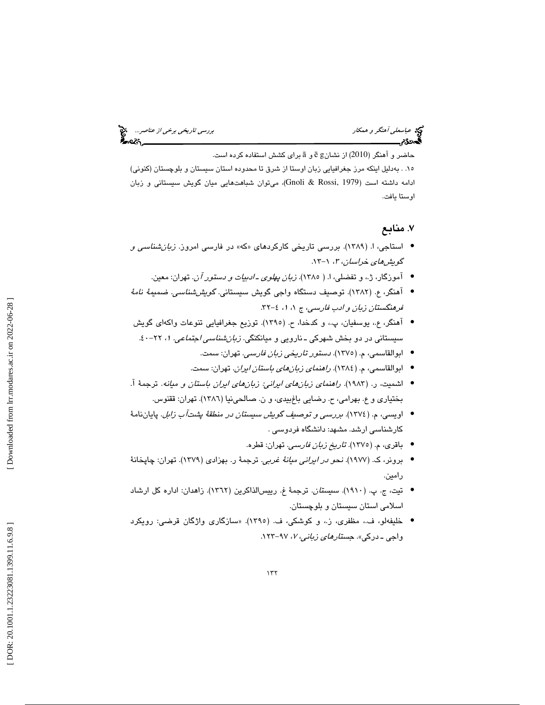عباسعل*ي آهنگر و همكار بررسي تاريخي برخي از عناصر...*<br>المحمد تاريخي برخي از عناصر...<br>**المحمد تاريخي بررسي بررسي بررسي بررسي تاريخي بررسي تاريخي بررسي تاريخي بررسي تاريخي برخي بررسي بررسي بررسي بر** 

حاضر و آهنگر (2010) از نشانg ق و ā برای کشش استفاده کرده است. ۱۰. . بهدلیل اینکه مرز جغرافیایی زبان اوستا از شرق تا محدوده استان سیستان و بلوچستان (کنونی) ادامه داشته است ( 1979 ,Rossi & Gnoli ، ( ميتوان شباهتهايي ميان گويش سيستاني و زبان اوستا يافت .

### 7. منابع

- استاجی، ا. (۱۳۸۹). بررسی تاریخی کارکردهای «که» در فارسی امروز. *زبانشناسی و* گوي*شهای خراسان*، ۳، ۱–۱۳.
	- آموزگار، ژ،. و تفضلي، ا. ( 1385). زبان پهلوي ـ ادبيات و دستور آن. تهران: معين. •
- آهنگر، ع. (١٣٨٢). توصيف دستگاه واجی گويش سيستانی. *گويششناسي. ضميمهٔ نامهٔ* فرهنگستان زبان و ادب فارسی، ج ۱، ۱، ٤–۳۲.
- آهنگر، ع،. يوسفيان، پ،. و كدخدا، ح. (1395). توزيع جغرافيايي تنوعات واكهاي گويش سیستانی در دو بخش شهرکی ـ نارویی و میانکنگی. *زبانشناسی ا*جت*ماعی*. ۱، ۲۲-۶۰.
	- ابوالقاسمي، م. (1375). دستور تاريخي زبان فارسي. تهران: سمت. •
	- ابوالقاسمي، م. (1384). راهنماي زبانهاي باستان ايران. تهران: سمت. •
- اشميت، ر. (1983). راهنماي زبانهاي ايراني: زبانهاي ايران باستان و ميانه. ترجمة آ. بختياري و ع. بهرامي، ح. رضايي باغبيدي، و ن. صالحينيا (1386). تهران: ققنوس.
- اويسي، م. (1374). بررسي و توصيف گويش سيستان در منطقة پشتآب زابل. پاياننامة كارشناسي ارشد. مشهد: دانشگاه فردوسي .
	- باقري، م. (1375). تاريخ زبان فارسي. تهران: قطره. •
- برونر، ك. (1977). نحو در ايراني ميانة غربي. ترجمة ر. بهزادي (1379). تهران: چاپخانة رامين.
- تيت، ج. پ. (1910). سيستان. ترجمة غ. رييسالذاكرين (1362). زاهدان: اداره كل ارشاد اسلامي استان سيستان و بلوچستان.
- خليفهلو، ف،. مظفري، ز،. و كوشكي، ف. (1395). «سازگاري واژگان قرضي: رويكرد واجي ـ دركي». ج*ستارهاي زباني، ۷،* ۹۷-۱۲۳.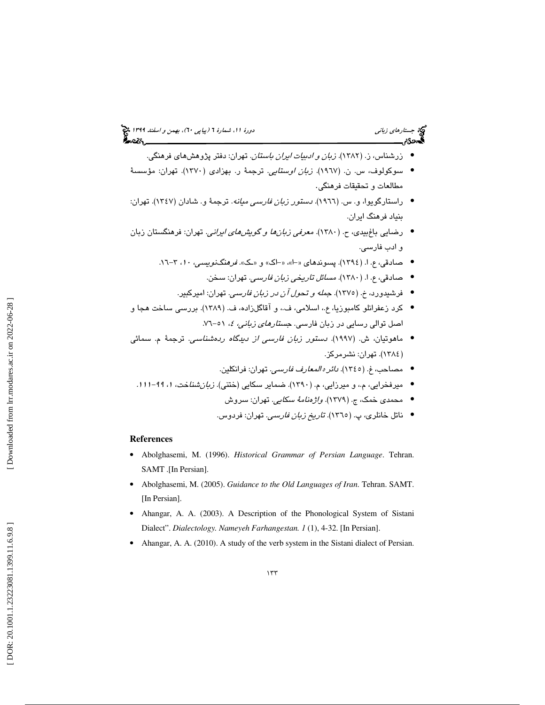## جستاره*اي زباني (بياپي 60)، بهمن و اسفند 1*394 فرانس به 130 دورة ا $\mu$  شمارة 1 (پياپي 61)، بهم*ن و اسفند 1*34 فر

- زرشناس، ز. (1382). زبان و ادبيات ايران باستان. تهران: دفتر پژوهشهاي فرهنگي. •
- سوكولوف، س. ن. (1967). زبان اوستايي. ترجمة ر. بهزادي (1370). تهران: مؤسسة مطالعات و تحقيقات فرهنگي.
- راستارگويوا، و. س. (1966). دستور زبان فارسي ميانه. ترجمة و. شادان (1347). تهران: بنياد فرهنگ ايران.
- رضايي باغبيدي، ح. (١٣٨٠). *معرفي زبانها و گويشهاي ايراني*. تهران: فرهنگستان زبان و ادب فارسي.
	- صادقي، ع. ا. (١٣٩٤). پسوندهاي «-ا»، «-اک» و «ک». فر*هنگنويسي، ١٠،* ٣-١٦.
		- صادقي، ع. ا. (1380). مسائل تاريخي زبان فارسي. تهران: سخن. •
		- فرشیدورد، خ. (١٣٧٥). *جمله و تحول آن در زبان فارسی*. تهران: امیرکبیر.
- كرد زعفرانلو كامبوزيا، ع،. اسلامي، ف،. و آقاگلزاده، ف. (1389). بررسي ساخت هجا و اصل توالی رسایی در زبان فارسی. ج*ستارهای زبانی، ٤،* ٥١–٧٦.
- ماهوتیان، ش. (۱۹۹۷). *دستور زبان فارسی از دیدگاه ردهشناسی*. ترجمهٔ م. سمائی 1384). تهران: نشرمركز. )
	- مصاحب، غ. (١٣٤٥). *دائر ه المعارف فارسي*. تهران: فرانكلين.
	- میرفخرایی، م.، و میرزایی، م. (۱۳۹۰). ضمایر سکایی (ختنی). *زبان شناخت*، ۱، ۹۹–۱۱۱.
		- محمدی خمک، ج. (۱۳۷۹). *واژهنامهٔ سکایی*. تهران: سروش
		- ناتل خانلری، پ. (١٣٦٥). *تاریخ زبان فارسی.* تهران: فردوس.

#### **References**

- Abolghasemi, M. (1996). *Historical Grammar of Persian Language*. Tehran. SAMT .[In Persian].
- Abolghasemi, M. (2005). *Guidance to the Old Languages of Iran*. Tehran. SAMT. [In Persian].
- Ahangar, A. A. (2003). A Description of the Phonological System of Sistani Dialect". *Dialectology. Nameyeh Farhangestan. 1* (1), 4-32. [In Persian].
- Ahangar, A. A. (2010). A study of the verb system in the Sistani dialect of Persian.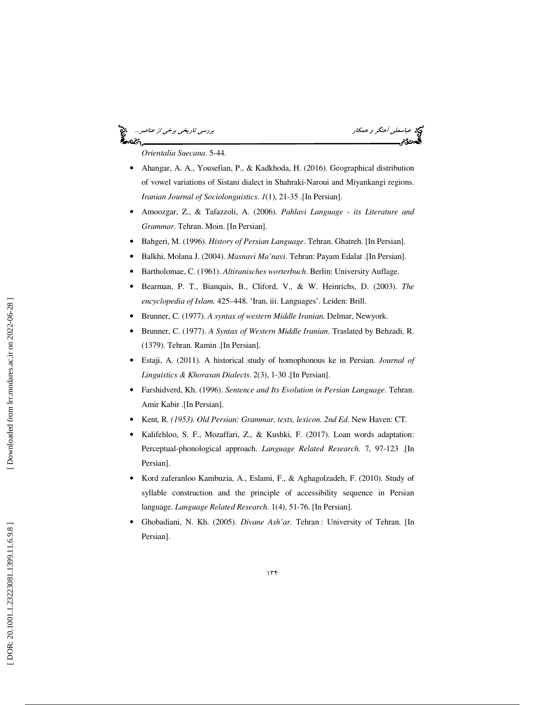# ಹಿಂದಿ



*Orientalia Suecana*. 5-44.

- Ahangar, A. A., Yousefian, P., & Kadkhoda, H. (2016). Geographical distribution of vowel variations of Sistani dialect in Shahraki-Naroui and Miyankangi regions. *Iranian Journal of Sociolonguistics*. *1*(1), 21-35 .[In Persian].
- Amoozgar, Z., & Tafazzoli, A. (2006)*. Pahlavi Language its Literature and Grammar*. Tehran. Moin. [In Persian].
- Bahgeri, M. (1996). *History of Persian Language*. Tehran. Ghatreh. [In Persian].
- Balkhi, Molana J. (2004). *Masnavi Ma'navi*. Tehran: Payam Edalat .[In Persian].
- Bartholomae, C. (1961). *Altiranisches worterbuch*. Berlin: University Auflage.
- Bearman, P. T., Bianquis, B., Cliford, V., & W. Heinrichs, D. (2003). *The encyclopedia of Islam.* 425–448. 'Iran, iii. Languages'. Leiden: Brill.
- Brunner, C. (1977). *A syntax of western Middle Iranian*. Delmar, Newyork.
- Brunner, C. (1977). *A Syntax of Western Middle Iranian*. Traslated by Behzadi, R. (1379). Tehran. Ramin .[In Persian].
- Estaji, A. (2011). A historical study of homophonous ke in Persian*. Journal of Linguistics & Khorasan Dialects*. 2(3), 1-30 .[In Persian].
- Farshidverd, Kh. (1996). *Sentence and Its Evolution in Persian Language*. Tehran. Amir Kabir .[In Persian].
- Kent*,* R. *(1953). Old Persian: Grammar, texts, lexicon. 2nd Ed.* New Haven: CT*.*
- Kalifehloo, S. F., Mozaffari, Z., & Kushki, F. (2017). Loan words adaptation: Perceptual-phonological approach. *Language Related Research*. 7, 97-123 .[In Persian].
- Kord zaferanloo Kambuzia, A., Eslami, F., & Aghagolzadeh, F. (2010). Study of syllable construction and the principle of accessibility sequence in Persian language. *Language Related Research*. 1(4), 51-76. [In Persian].
- Ghobadiani, N. Kh. (2005). *Divane Ash'ar.* Tehran : University of Tehran. [In Persian].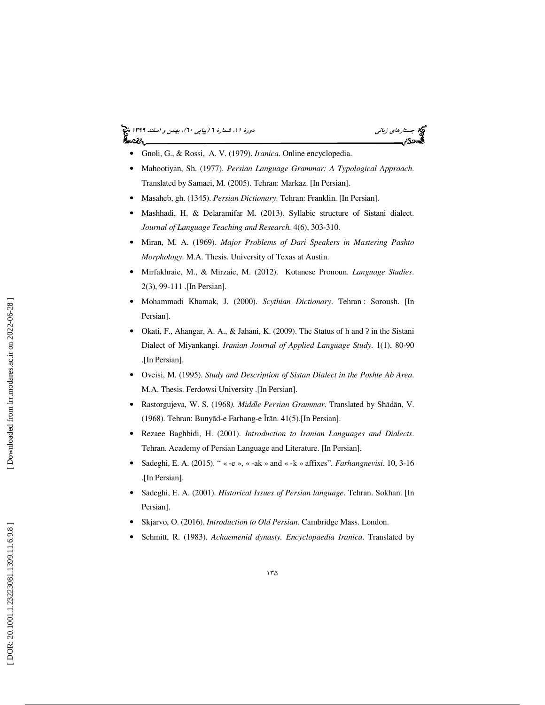#### جستاره*اي زباني (بياپي 60)، بهمن و اسفند 1*394 فرانس به 130 دورة ا $\mu$  شمارة 1 (پياپي 61)، بهم*ن و اسفند 1*34 فر ಹಿಂದಿ

- Gnoli, G., & Rossi, A. V. (1979). *Iranica*. Online encyclopedia.
- Mahootiyan, Sh. (1977). *Persian Language Grammar: A Typological Approach*. Translated by Samaei, M. (2005). Tehran: Markaz. [In Persian].
- Masaheb, gh. (1345). *Persian Dictionary*. Tehran: Franklin. [In Persian].
- Mashhadi, H. & Delaramifar M. (2013). Syllabic structure of Sistani dialect. *Journal of Language Teaching and Research.* 4(6), 303-310.
- Miran, M. A. (1969). *Major Problems of Dari Speakers in Mastering Pashto Morphology*. M.A. Thesis. University of Texas at Austin.
- Mirfakhraie, M., & Mirzaie, M. (2012). Kotanese Pronoun. *Language Studies*. 2(3), 99-111 .[In Persian].
- Mohammadi Khamak, J. (2000). *Scythian Dictionary*. Tehran : Soroush. [In Persian].
- Okati, F., Ahangar, A. A., & Jahani, K. (2009). The Status of h and ? in the Sistani Dialect of Miyankangi. *Iranian Journal of Applied Language Study*. 1(1), 80-90 .[In Persian].
- Oveisi, M. (1995). *Study and Description of Sistan Dialect in the Poshte Ab Area*. M.A. Thesis. Ferdowsi University .[In Persian].
- Rastorgujeva, W. S. (1968). *Middle Persian Grammar*. Translated by Shadan, V. (1968). Tehran: Buny ād-e Farhang-e Ī r ān. 41(5).[In Persian].
- Rezaee Baghbidi, H. (2001). *Introduction to Iranian Languages and Dialects*. Tehran. Academy of Persian Language and Literature. [In Persian].
- Sadeghi, E. A. (2015). " « -e », « -ak » and « -k » affixes"*. Farhangnevisi*. 10, 3-16 .[In Persian].
- Sadeghi, E. A. (2001). *Historical Issues of Persian language*. Tehran. Sokhan. [In Persian].
- Skjarvo, O. (2016). *Introduction to Old Persian*. Cambridge Mass. London.
- Schmitt, R. (1983). *Achaemenid dynasty. Encyclopaedia Iranica*. Translated by